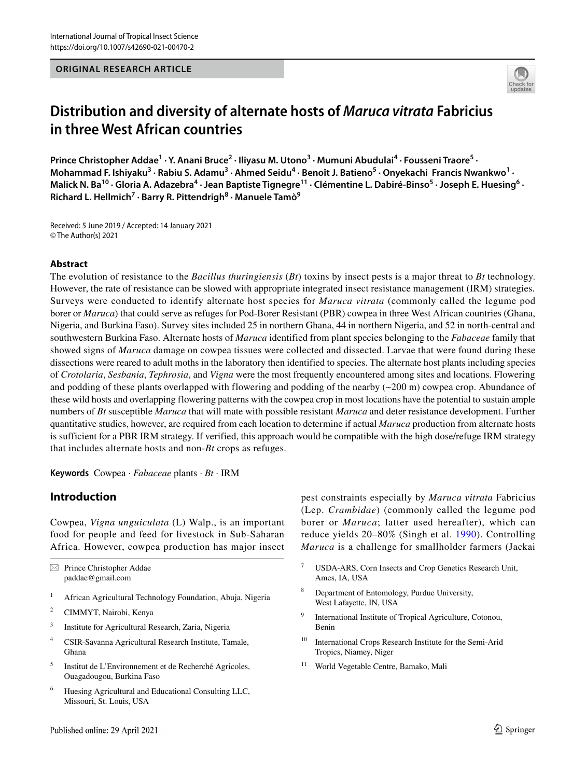#### **ORIGINAL RESEARCH ARTICLE**



# **Distribution and diversity of alternate hosts of** *Maruca vitrata* **Fabricius in three West African countries**

Prince Christopher Addae<sup>1</sup> · Y. Anani Bruce<sup>2</sup> · Iliyasu M. Utono<sup>3</sup> · Mumuni Abudulai<sup>4</sup> · Fousseni Traore<sup>5</sup> · Mohammad F. Ishiyaku<sup>3</sup> · Rabiu S. Adamu<sup>3</sup> · Ahmed Seidu<sup>4</sup> · Benoît J. Batieno<sup>5</sup> · Onyekachi Francis Nwankwo<sup>1</sup> · Malick N. Ba<sup>10</sup> · Gloria A. Adazebra<sup>4</sup> · Jean Baptiste Tignegre<sup>11</sup> · Clémentine L. Dabiré-Binso<sup>5</sup> · Joseph E. Huesing<sup>6</sup> · **Richard L. Hellmich<sup>7</sup> · Barry R. Pittendrigh8 · Manuele Tamò9**

Received: 5 June 2019 / Accepted: 14 January 2021 © The Author(s) 2021

#### **Abstract**

The evolution of resistance to the *Bacillus thuringiensis* (*Bt*) toxins by insect pests is a major threat to *Bt* technology. However, the rate of resistance can be slowed with appropriate integrated insect resistance management (IRM) strategies. Surveys were conducted to identify alternate host species for *Maruca vitrata* (commonly called the legume pod borer or *Maruca*) that could serve as refuges for Pod-Borer Resistant (PBR) cowpea in three West African countries (Ghana, Nigeria, and Burkina Faso). Survey sites included 25 in northern Ghana, 44 in northern Nigeria, and 52 in north-central and southwestern Burkina Faso. Alternate hosts of *Maruca* identified from plant species belonging to the *Fabaceae* family that showed signs of *Maruca* damage on cowpea tissues were collected and dissected. Larvae that were found during these dissections were reared to adult moths in the laboratory then identified to species. The alternate host plants including species of *Crotolaria*, *Sesbania*, *Tephrosia*, and *Vigna* were the most frequently encountered among sites and locations. Flowering and podding of these plants overlapped with flowering and podding of the nearby  $(\sim 200 \text{ m})$  cowpea crop. Abundance of these wild hosts and overlapping flowering patterns with the cowpea crop in most locations have the potential to sustain ample numbers of *Bt* susceptible *Maruca* that will mate with possible resistant *Maruca* and deter resistance development. Further quantitative studies, however, are required from each location to determine if actual *Maruca* production from alternate hosts is sufficient for a PBR IRM strategy. If verified, this approach would be compatible with the high dose/refuge IRM strategy that includes alternate hosts and non-*Bt* crops as refuges.

**Keywords** Cowpea · *Fabaceae* plants · *Bt* · IRM

### **Introduction**

Cowpea, *Vigna unguiculata* (L) Walp., is an important food for people and feed for livestock in Sub-Saharan Africa. However, cowpea production has major insect

 $\boxtimes$  Prince Christopher Addae paddae@gmail.com

- <sup>1</sup> African Agricultural Technology Foundation, Abuja, Nigeria
- <sup>2</sup> CIMMYT, Nairobi, Kenya
- <sup>3</sup> Institute for Agricultural Research, Zaria, Nigeria
- <sup>4</sup> CSIR-Savanna Agricultural Research Institute, Tamale, Ghana
- <sup>5</sup> Institut de L'Environnement et de Recherché Agricoles, Ouagadougou, Burkina Faso
- <sup>6</sup> Huesing Agricultural and Educational Consulting LLC, Missouri, St. Louis, USA

pest constraints especially by *Maruca vitrata* Fabricius (Lep. *Crambidae*) (commonly called the legume pod borer or *Maruca*; latter used hereafter), which can reduce yields 20–80% (Singh et al. [1990\)](#page-13-0). Controlling *Maruca* is a challenge for smallholder farmers (Jackai

- <sup>7</sup> USDA-ARS, Corn Insects and Crop Genetics Research Unit, Ames, IA, USA
- <sup>8</sup> Department of Entomology, Purdue University, West Lafayette, IN, USA
- International Institute of Tropical Agriculture, Cotonou, Benin
- <sup>10</sup> International Crops Research Institute for the Semi-Arid Tropics, Niamey, Niger
- <sup>11</sup> World Vegetable Centre, Bamako, Mali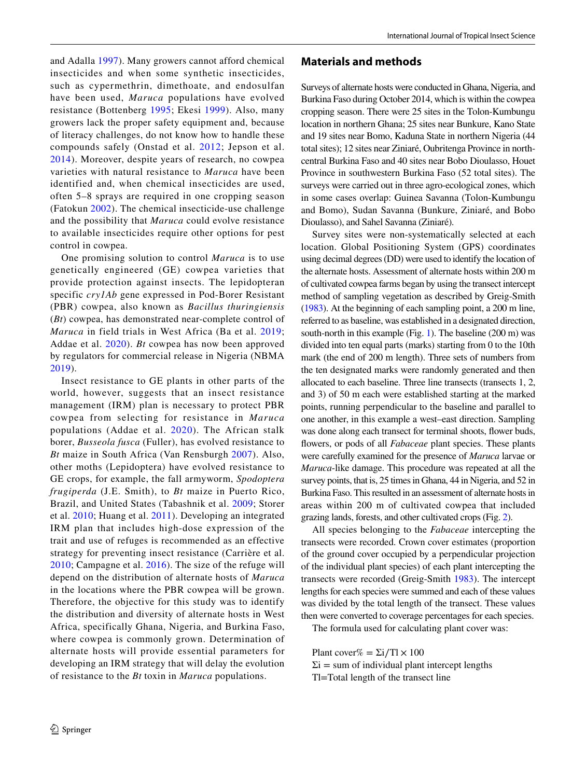and Adalla [1997](#page-12-0)). Many growers cannot afford chemical insecticides and when some synthetic insecticides, such as cypermethrin, dimethoate, and endosulfan have been used, *Maruca* populations have evolved resistance (Bottenberg [1995](#page-12-1); Ekesi [1999\)](#page-12-2). Also, many growers lack the proper safety equipment and, because of literacy challenges, do not know how to handle these compounds safely (Onstad et al. [2012;](#page-13-1) Jepson et al. [2014](#page-12-3)). Moreover, despite years of research, no cowpea varieties with natural resistance to *Maruca* have been identified and, when chemical insecticides are used, often 5–8 sprays are required in one cropping season (Fatokun [2002](#page-12-4)). The chemical insecticide-use challenge and the possibility that *Maruca* could evolve resistance to available insecticides require other options for pest control in cowpea.

One promising solution to control *Maruca* is to use genetically engineered (GE) cowpea varieties that provide protection against insects. The lepidopteran specific *cry1Ab* gene expressed in Pod-Borer Resistant (PBR) cowpea, also known as *Bacillus thuringiensis* (*Bt*) cowpea, has demonstrated near-complete control of *Maruca* in field trials in West Africa (Ba et al. [2019](#page-12-5); Addae et al. [2020\)](#page-12-6). *Bt* cowpea has now been approved by regulators for commercial release in Nigeria (NBMA [2019](#page-12-7)).

Insect resistance to GE plants in other parts of the world, however, suggests that an insect resistance management (IRM) plan is necessary to protect PBR cowpea from selecting for resistance in *Maruca* populations (Addae et al. [2020\)](#page-12-6). The African stalk borer, *Busseola fusca* (Fuller), has evolved resistance to *Bt* maize in South Africa (Van Rensburgh [2007\)](#page-13-2). Also, other moths (Lepidoptera) have evolved resistance to GE crops, for example, the fall armyworm, *Spodoptera frugiperda* (J.E. Smith), to *Bt* maize in Puerto Rico, Brazil, and United States (Tabashnik et al. [2009](#page-13-3); Storer et al. [2010;](#page-13-4) Huang et al. [2011\)](#page-12-8). Developing an integrated IRM plan that includes high-dose expression of the trait and use of refuges is recommended as an effective strategy for preventing insect resistance (Carrière et al. [2010](#page-12-9); Campagne et al. [2016](#page-12-10)). The size of the refuge will depend on the distribution of alternate hosts of *Maruca* in the locations where the PBR cowpea will be grown. Therefore, the objective for this study was to identify the distribution and diversity of alternate hosts in West Africa, specifically Ghana, Nigeria, and Burkina Faso, where cowpea is commonly grown. Determination of alternate hosts will provide essential parameters for developing an IRM strategy that will delay the evolution of resistance to the *Bt* toxin in *Maruca* populations.

#### **Materials and methods**

Surveys of alternate hosts were conducted in Ghana, Nigeria, and Burkina Faso during October 2014, which is within the cowpea cropping season. There were 25 sites in the Tolon-Kumbungu location in northern Ghana; 25 sites near Bunkure, Kano State and 19 sites near Bomo, Kaduna State in northern Nigeria (44 total sites); 12 sites near Ziniaré, Oubritenga Province in northcentral Burkina Faso and 40 sites near Bobo Dioulasso, Houet Province in southwestern Burkina Faso (52 total sites). The surveys were carried out in three agro-ecological zones, which in some cases overlap: Guinea Savanna (Tolon-Kumbungu and Bomo), Sudan Savanna (Bunkure, Ziniaré, and Bobo Dioulasso), and Sahel Savanna (Ziniaré).

Survey sites were non-systematically selected at each location. Global Positioning System (GPS) coordinates using decimal degrees (DD) were used to identify the location of the alternate hosts. Assessment of alternate hosts within 200 m of cultivated cowpea farms began by using the transect intercept method of sampling vegetation as described by Greig-Smith [\(1983](#page-12-11)). At the beginning of each sampling point, a 200 m line, referred to as baseline, was established in a designated direction, south-north in this example (Fig. [1](#page-2-0)). The baseline (200 m) was divided into ten equal parts (marks) starting from 0 to the 10th mark (the end of 200 m length). Three sets of numbers from the ten designated marks were randomly generated and then allocated to each baseline. Three line transects (transects 1, 2, and 3) of 50 m each were established starting at the marked points, running perpendicular to the baseline and parallel to one another, in this example a west–east direction. Sampling was done along each transect for terminal shoots, fower buds, fowers, or pods of all *Fabaceae* plant species. These plants were carefully examined for the presence of *Maruca* larvae or *Maruca*-like damage. This procedure was repeated at all the survey points, that is, 25 times in Ghana, 44 in Nigeria, and 52 in Burkina Faso. This resulted in an assessment of alternate hosts in areas within 200 m of cultivated cowpea that included grazing lands, forests, and other cultivated crops (Fig. [2\)](#page-2-1).

All species belonging to the *Fabaceae* intercepting the transects were recorded. Crown cover estimates (proportion of the ground cover occupied by a perpendicular projection of the individual plant species) of each plant intercepting the transects were recorded (Greig-Smith [1983\)](#page-12-11). The intercept lengths for each species were summed and each of these values was divided by the total length of the transect. These values then were converted to coverage percentages for each species.

The formula used for calculating plant cover was:

Plant cover% =  $\Sigma i/Tl \times 100$  $\Sigma$ i = sum of individual plant intercept lengths Tl=Total length of the transect line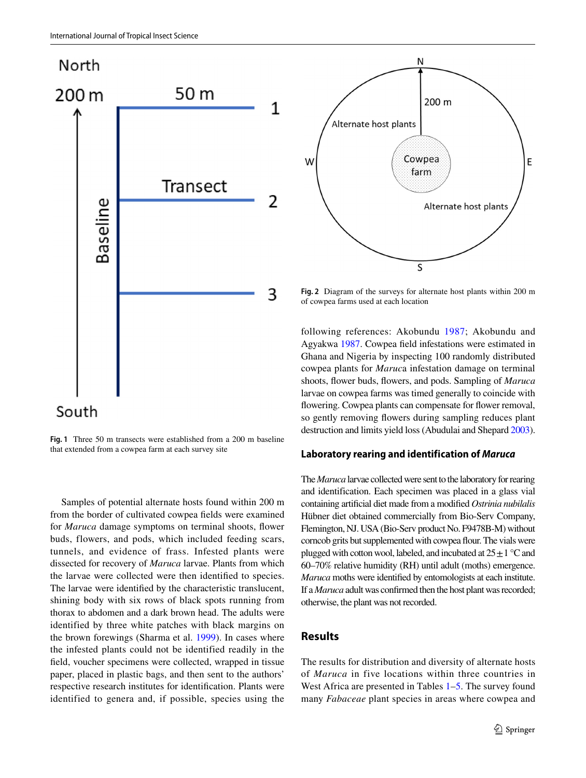

<span id="page-2-0"></span>**Fig. 1** Three 50 m transects were established from a 200 m baseline that extended from a cowpea farm at each survey site

Samples of potential alternate hosts found within 200 m from the border of cultivated cowpea felds were examined for *Maruca* damage symptoms on terminal shoots, fower buds, flowers, and pods, which included feeding scars, tunnels, and evidence of frass. Infested plants were dissected for recovery of *Maruca* larvae. Plants from which the larvae were collected were then identifed to species. The larvae were identifed by the characteristic translucent, shining body with six rows of black spots running from thorax to abdomen and a dark brown head. The adults were identified by three white patches with black margins on the brown forewings (Sharma et al. [1999](#page-13-5)). In cases where the infested plants could not be identified readily in the feld, voucher specimens were collected, wrapped in tissue paper, placed in plastic bags, and then sent to the authors' respective research institutes for identifcation. Plants were identified to genera and, if possible, species using the



<span id="page-2-1"></span>**Fig. 2** Diagram of the surveys for alternate host plants within 200 m of cowpea farms used at each location

following references: Akobundu [1987;](#page-12-12) Akobundu and Agyakwa [1987](#page-12-13). Cowpea feld infestations were estimated in Ghana and Nigeria by inspecting 100 randomly distributed cowpea plants for *Maruc*a infestation damage on terminal shoots, fower buds, fowers, and pods. Sampling of *Maruca* larvae on cowpea farms was timed generally to coincide with flowering. Cowpea plants can compensate for flower removal, so gently removing fowers during sampling reduces plant destruction and limits yield loss (Abudulai and Shepard [2003\)](#page-12-14).

#### **Laboratory rearing and identification of** *Maruca*

The *Maruca* larvae collected were sent to the laboratory for rearing and identification. Each specimen was placed in a glass vial containing artifcial diet made from a modifed *Ostrinia nubilalis* Hübner diet obtained commercially from Bio-Serv Company, Flemington, NJ. USA (Bio-Serv product No. F9478B-M) without corncob grits but supplemented with cowpea four. The vials were plugged with cotton wool, labeled, and incubated at  $25 \pm 1$  °C and 60–70% relative humidity (RH) until adult (moths) emergence. *Maruca* moths were identifed by entomologists at each institute. If a *Maruca* adult was confrmed then the host plant was recorded; otherwise, the plant was not recorded.

## **Results**

The results for distribution and diversity of alternate hosts of *Maruca* in five locations within three countries in West Africa are presented in Tables [1](#page-3-0)[–5](#page-9-0). The survey found many *Fabaceae* plant species in areas where cowpea and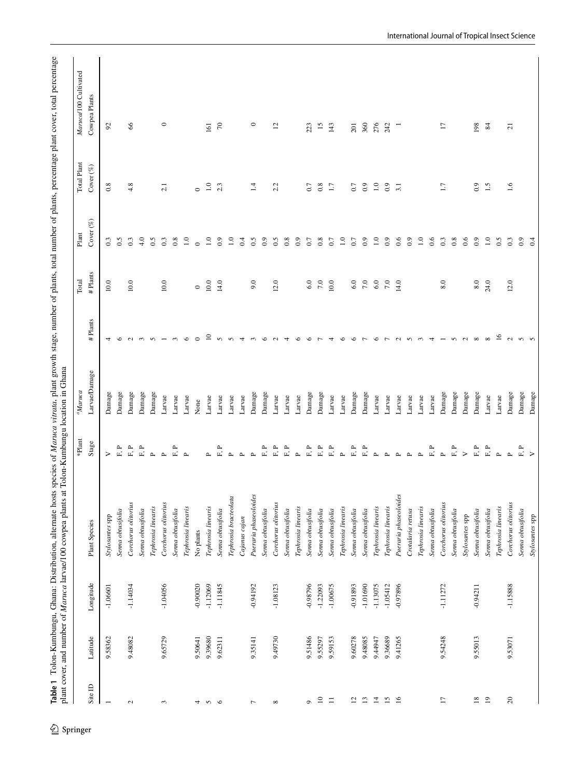<span id="page-3-0"></span>

| 66<br>$\circ$<br>70<br>$\circ$<br>15<br>92<br>$\overline{c}$<br>143<br>360<br>276<br>198<br>$161\,$<br>223<br>242<br>$\overline{17}$<br>84<br>201<br>$\overline{a}$<br>0.8<br>4.8<br>$\overline{1.0}$<br>$_{0.9}$<br>$^{0.1}$<br>2.3<br>$\vec{a}$<br>2.2<br>0.8<br>$_{0.9}$<br>$\overline{1.0}$<br>$_{0.9}$<br>1.5<br>2.1<br>0.7<br>$\Box$<br>$\overline{1.7}$<br>0.7<br>3.1<br>$\circ$<br>$0.\overline{3}$<br>4.0<br>0.5<br>$0.\overline{3}$<br>0.5<br>$_{0.9}$<br>0.5<br>$_{0.8}$<br>0.9<br>$_{0.8}$<br>0.6<br>$\overline{1.0}$<br>0.6<br>0.3<br>0.8<br>0.6<br>$_{0.9}$<br>0.5<br>$0.\overline{3}$<br>0.3<br>0.5<br>0.8<br>$\overline{1.0}$<br>$\overline{1.0}$<br>$_{0.9}$<br>$\overline{1.0}$<br>0.4<br>$0.7\,$<br>$\ddot{ }$ .0<br>$_{0.9}$<br>$\overline{1.0}$<br>0.9<br>$_{0.9}$<br>$\overline{1.0}$<br>$_{0.9}$<br>0.7<br>0.7<br>$\circ$<br>10.0<br>10.0<br>$10.0$<br>12.0<br>$7.0\,$<br>$7.0\,$<br>$6.0\,$<br>8.0<br>$8.0\,$<br>24.0<br>10.0<br>14.0<br>9.0<br>6.0<br>10.0<br>$6.0\,$<br>7.0<br>14.0<br>12.0<br>$\circ$<br>$\overline{10}$<br>$\overline{16}$<br>$\circ$<br>$\circ$<br>$\sim$<br>$\sim$<br>$\infty$<br>$\sim$<br>$\circ$<br>$\sim$<br>$\overline{\phantom{a}}$<br>$\epsilon$<br>$\sim$<br>$\overline{4}$<br>$\circ$<br>$\circ$<br>$\circ$<br>$\sim$<br>$\infty$<br>$\sim$<br>$\epsilon$<br>$\sim$<br>$\sim$<br>4<br>$\circ$<br>$\overline{ }$<br>$\overline{4}$<br>$\circ$<br>$\overline{ }$<br>$\circ$<br>$\overline{r}$<br>$\sim$<br>$\sim$<br>$\sim$<br>4<br>4<br>Damage<br>Damage<br>Damage<br>Damage<br>Damage<br>Damage<br>Damage<br>Damage<br>Damage<br>Damage<br>Damage<br>Damage<br>Damage<br>Damage<br>Damage<br>Damage<br>Damage<br>Larvae<br>Larvae<br>Larvae<br>Larvae<br>Larvae<br>Larvae<br>Larvae<br>Larvae<br>Larvae<br>Larvae<br>Larvae<br>Larvae<br>Larvae<br>Larvae<br>Larvae<br>Larvae<br>Larvae<br>Larvae<br>Larvae<br>Larvae<br>None<br>$\mathbb{F}$ )<br>$\mathbf{r}$<br>р.,<br>F.P<br>$\mathbb{F},\mathbb{P}$<br>F, P<br>${\bf F}$ P<br>${\bf F}$ P<br>${\bf F}$ P<br>$\mathbf{F}$<br>$\mathbf{F},\mathbf{P}$<br>${\rm F.}$ P<br>$\mathbf{F}$ .<br>$\mathbb{F}$ .<br>${\tt F, P}$<br>F, P<br>F, P<br>営<br>$\mathbf{L}^{\star}$<br>$\mathbf{p}$<br>$\sim$<br>$\geq$<br>$\mathbf{p}$<br>$\mathbf{p}$<br>$\geq$<br>$\mathbf{L}$<br>$\mathbf{p}$<br>$\mathbf{p}$<br>$\mathbf{\Omega}$<br>$\sim$<br>$\mathbf{p}$<br>$\mathbf{p}$<br>$\Delta$<br>$\sim$<br>$\mathbf{\underline{\upmu}}$<br>$\sim$<br>$\sim$<br>$\sim$<br>Pueraria phaseoloides<br>Pueraria phaseoloides<br>Tephrosia bracteolata<br>Corchorus olitorius<br>Corchorus olitorius<br>Corchorus olitorius<br>Corchorus olitorius<br>Corchorus olitorius<br>Tephrosia linearis<br>Tephrosia linearis<br>Tephrosia linearis<br>Tephrosia linearis<br>Tephrosia linearis<br>Tephrosia linearis<br>Tephrosia linearis<br>Tephrosia linearis<br>Tephrosia linearis<br>Senna obtusifolia<br>Senna obtusifolia<br>Senna obtusifolia<br>Senna obtusifolia<br>Senna obtusifolia<br>Senna obtusifolia<br>Senna obtusifolia<br>Senna obtusifolia<br>Senna obtusifolia<br>Senna obtusifolia<br>Senna obtusifolia<br>Senna obtusifolia<br>Crotalaria retusa<br>Senna obtusifolia<br>Senna obtusifolia<br>Senna obtusifolia<br>Senna obtusifolia<br>Stylosantes spp<br>Stylosantes spp<br>Cajanus cajan<br>No plants<br>$-1.04056$<br>$-0.90020$<br>$-1.12069$<br>$-1.14034$<br>$-1.11845$<br>$-1.15888$<br>$-0.94192$<br>-0.98796<br>$-1.22093$<br>$-0.91893$<br>$-1.01690$<br>$-1.13075$<br>$-1.05412$<br>$-0.97896$<br>$-1.11272$<br>$-0.94211$<br>$-1.06601$<br>$-1.08123$<br>$-1.00675$<br>9.39680<br>9.48082<br>9.65729<br>9.49730<br>9.51486<br>9.60278<br>9.48085<br>9.36689<br>9.54248<br>9.55013<br>9.58362<br>9.59153<br>9.44947<br>9.41265<br>9.50641<br>9.62311<br>9.55297<br>9.53071<br>9.35141<br>$\overline{19}$<br>$\approx$<br>$\overline{10}$<br>$\mathbf{r}$<br>$\overline{4}$<br>$\overline{15}$<br>$\overline{1}$<br>$18\,$<br>$\equiv$<br>$\overline{5}$<br>$\overline{5}$<br>Ó<br>$\sim$<br>$\overline{a}$<br>3<br>50<br>$\infty$<br>4<br>$\overline{ }$ |         |          |           |               | *Plant | <sup>1</sup> Maruca |         | Total    | Plant        | Total Plant  | Maruca/100 Cultivated |
|----------------------------------------------------------------------------------------------------------------------------------------------------------------------------------------------------------------------------------------------------------------------------------------------------------------------------------------------------------------------------------------------------------------------------------------------------------------------------------------------------------------------------------------------------------------------------------------------------------------------------------------------------------------------------------------------------------------------------------------------------------------------------------------------------------------------------------------------------------------------------------------------------------------------------------------------------------------------------------------------------------------------------------------------------------------------------------------------------------------------------------------------------------------------------------------------------------------------------------------------------------------------------------------------------------------------------------------------------------------------------------------------------------------------------------------------------------------------------------------------------------------------------------------------------------------------------------------------------------------------------------------------------------------------------------------------------------------------------------------------------------------------------------------------------------------------------------------------------------------------------------------------------------------------------------------------------------------------------------------------------------------------------------------------------------------------------------------------------------------------------------------------------------------------------------------------------------------------------------------------------------------------------------------------------------------------------------------------------------------------------------------------------------------------------------------------------------------------------------------------------------------------------------------------------------------------------------------------------------------------------------------------------------------------------------------------------------------------------------------------------------------------------------------------------------------------------------------------------------------------------------------------------------------------------------------------------------------------------------------------------------------------------------------------------------------------------------------------------------------------------------------------------------------------------------------------------------------------------------------------------------------------------------------------------------------------------------------------------------------------------------------------------------------------------------------------------------------------------------------------------------------------------------------------------------------------------------------------------------------------------------------------------------------------------------------------------------------------------------------------------------------------------------------------------------------------------------------------------------------------------------------------------------------------------------------------------------------------------------------------------------------------------------------------------------------------------|---------|----------|-----------|---------------|--------|---------------------|---------|----------|--------------|--------------|-----------------------|
|                                                                                                                                                                                                                                                                                                                                                                                                                                                                                                                                                                                                                                                                                                                                                                                                                                                                                                                                                                                                                                                                                                                                                                                                                                                                                                                                                                                                                                                                                                                                                                                                                                                                                                                                                                                                                                                                                                                                                                                                                                                                                                                                                                                                                                                                                                                                                                                                                                                                                                                                                                                                                                                                                                                                                                                                                                                                                                                                                                                                                                                                                                                                                                                                                                                                                                                                                                                                                                                                                                                                                                                                                                                                                                                                                                                                                                                                                                                                                                                                                                                                            | Site ID | Latitude | Longitude | Plant Species | Stage  | Larvae/Damage       | #Plants | # Plants | Cover $(\%)$ | Cover $(\%)$ | Cowpea Plants         |
|                                                                                                                                                                                                                                                                                                                                                                                                                                                                                                                                                                                                                                                                                                                                                                                                                                                                                                                                                                                                                                                                                                                                                                                                                                                                                                                                                                                                                                                                                                                                                                                                                                                                                                                                                                                                                                                                                                                                                                                                                                                                                                                                                                                                                                                                                                                                                                                                                                                                                                                                                                                                                                                                                                                                                                                                                                                                                                                                                                                                                                                                                                                                                                                                                                                                                                                                                                                                                                                                                                                                                                                                                                                                                                                                                                                                                                                                                                                                                                                                                                                                            |         |          |           |               |        |                     |         |          |              |              |                       |
|                                                                                                                                                                                                                                                                                                                                                                                                                                                                                                                                                                                                                                                                                                                                                                                                                                                                                                                                                                                                                                                                                                                                                                                                                                                                                                                                                                                                                                                                                                                                                                                                                                                                                                                                                                                                                                                                                                                                                                                                                                                                                                                                                                                                                                                                                                                                                                                                                                                                                                                                                                                                                                                                                                                                                                                                                                                                                                                                                                                                                                                                                                                                                                                                                                                                                                                                                                                                                                                                                                                                                                                                                                                                                                                                                                                                                                                                                                                                                                                                                                                                            |         |          |           |               |        |                     |         |          |              |              |                       |
|                                                                                                                                                                                                                                                                                                                                                                                                                                                                                                                                                                                                                                                                                                                                                                                                                                                                                                                                                                                                                                                                                                                                                                                                                                                                                                                                                                                                                                                                                                                                                                                                                                                                                                                                                                                                                                                                                                                                                                                                                                                                                                                                                                                                                                                                                                                                                                                                                                                                                                                                                                                                                                                                                                                                                                                                                                                                                                                                                                                                                                                                                                                                                                                                                                                                                                                                                                                                                                                                                                                                                                                                                                                                                                                                                                                                                                                                                                                                                                                                                                                                            |         |          |           |               |        |                     |         |          |              |              |                       |
|                                                                                                                                                                                                                                                                                                                                                                                                                                                                                                                                                                                                                                                                                                                                                                                                                                                                                                                                                                                                                                                                                                                                                                                                                                                                                                                                                                                                                                                                                                                                                                                                                                                                                                                                                                                                                                                                                                                                                                                                                                                                                                                                                                                                                                                                                                                                                                                                                                                                                                                                                                                                                                                                                                                                                                                                                                                                                                                                                                                                                                                                                                                                                                                                                                                                                                                                                                                                                                                                                                                                                                                                                                                                                                                                                                                                                                                                                                                                                                                                                                                                            |         |          |           |               |        |                     |         |          |              |              |                       |
|                                                                                                                                                                                                                                                                                                                                                                                                                                                                                                                                                                                                                                                                                                                                                                                                                                                                                                                                                                                                                                                                                                                                                                                                                                                                                                                                                                                                                                                                                                                                                                                                                                                                                                                                                                                                                                                                                                                                                                                                                                                                                                                                                                                                                                                                                                                                                                                                                                                                                                                                                                                                                                                                                                                                                                                                                                                                                                                                                                                                                                                                                                                                                                                                                                                                                                                                                                                                                                                                                                                                                                                                                                                                                                                                                                                                                                                                                                                                                                                                                                                                            |         |          |           |               |        |                     |         |          |              |              |                       |
|                                                                                                                                                                                                                                                                                                                                                                                                                                                                                                                                                                                                                                                                                                                                                                                                                                                                                                                                                                                                                                                                                                                                                                                                                                                                                                                                                                                                                                                                                                                                                                                                                                                                                                                                                                                                                                                                                                                                                                                                                                                                                                                                                                                                                                                                                                                                                                                                                                                                                                                                                                                                                                                                                                                                                                                                                                                                                                                                                                                                                                                                                                                                                                                                                                                                                                                                                                                                                                                                                                                                                                                                                                                                                                                                                                                                                                                                                                                                                                                                                                                                            |         |          |           |               |        |                     |         |          |              |              |                       |
|                                                                                                                                                                                                                                                                                                                                                                                                                                                                                                                                                                                                                                                                                                                                                                                                                                                                                                                                                                                                                                                                                                                                                                                                                                                                                                                                                                                                                                                                                                                                                                                                                                                                                                                                                                                                                                                                                                                                                                                                                                                                                                                                                                                                                                                                                                                                                                                                                                                                                                                                                                                                                                                                                                                                                                                                                                                                                                                                                                                                                                                                                                                                                                                                                                                                                                                                                                                                                                                                                                                                                                                                                                                                                                                                                                                                                                                                                                                                                                                                                                                                            |         |          |           |               |        |                     |         |          |              |              |                       |
|                                                                                                                                                                                                                                                                                                                                                                                                                                                                                                                                                                                                                                                                                                                                                                                                                                                                                                                                                                                                                                                                                                                                                                                                                                                                                                                                                                                                                                                                                                                                                                                                                                                                                                                                                                                                                                                                                                                                                                                                                                                                                                                                                                                                                                                                                                                                                                                                                                                                                                                                                                                                                                                                                                                                                                                                                                                                                                                                                                                                                                                                                                                                                                                                                                                                                                                                                                                                                                                                                                                                                                                                                                                                                                                                                                                                                                                                                                                                                                                                                                                                            |         |          |           |               |        |                     |         |          |              |              |                       |
|                                                                                                                                                                                                                                                                                                                                                                                                                                                                                                                                                                                                                                                                                                                                                                                                                                                                                                                                                                                                                                                                                                                                                                                                                                                                                                                                                                                                                                                                                                                                                                                                                                                                                                                                                                                                                                                                                                                                                                                                                                                                                                                                                                                                                                                                                                                                                                                                                                                                                                                                                                                                                                                                                                                                                                                                                                                                                                                                                                                                                                                                                                                                                                                                                                                                                                                                                                                                                                                                                                                                                                                                                                                                                                                                                                                                                                                                                                                                                                                                                                                                            |         |          |           |               |        |                     |         |          |              |              |                       |
|                                                                                                                                                                                                                                                                                                                                                                                                                                                                                                                                                                                                                                                                                                                                                                                                                                                                                                                                                                                                                                                                                                                                                                                                                                                                                                                                                                                                                                                                                                                                                                                                                                                                                                                                                                                                                                                                                                                                                                                                                                                                                                                                                                                                                                                                                                                                                                                                                                                                                                                                                                                                                                                                                                                                                                                                                                                                                                                                                                                                                                                                                                                                                                                                                                                                                                                                                                                                                                                                                                                                                                                                                                                                                                                                                                                                                                                                                                                                                                                                                                                                            |         |          |           |               |        |                     |         |          |              |              |                       |
|                                                                                                                                                                                                                                                                                                                                                                                                                                                                                                                                                                                                                                                                                                                                                                                                                                                                                                                                                                                                                                                                                                                                                                                                                                                                                                                                                                                                                                                                                                                                                                                                                                                                                                                                                                                                                                                                                                                                                                                                                                                                                                                                                                                                                                                                                                                                                                                                                                                                                                                                                                                                                                                                                                                                                                                                                                                                                                                                                                                                                                                                                                                                                                                                                                                                                                                                                                                                                                                                                                                                                                                                                                                                                                                                                                                                                                                                                                                                                                                                                                                                            |         |          |           |               |        |                     |         |          |              |              |                       |
|                                                                                                                                                                                                                                                                                                                                                                                                                                                                                                                                                                                                                                                                                                                                                                                                                                                                                                                                                                                                                                                                                                                                                                                                                                                                                                                                                                                                                                                                                                                                                                                                                                                                                                                                                                                                                                                                                                                                                                                                                                                                                                                                                                                                                                                                                                                                                                                                                                                                                                                                                                                                                                                                                                                                                                                                                                                                                                                                                                                                                                                                                                                                                                                                                                                                                                                                                                                                                                                                                                                                                                                                                                                                                                                                                                                                                                                                                                                                                                                                                                                                            |         |          |           |               |        |                     |         |          |              |              |                       |
|                                                                                                                                                                                                                                                                                                                                                                                                                                                                                                                                                                                                                                                                                                                                                                                                                                                                                                                                                                                                                                                                                                                                                                                                                                                                                                                                                                                                                                                                                                                                                                                                                                                                                                                                                                                                                                                                                                                                                                                                                                                                                                                                                                                                                                                                                                                                                                                                                                                                                                                                                                                                                                                                                                                                                                                                                                                                                                                                                                                                                                                                                                                                                                                                                                                                                                                                                                                                                                                                                                                                                                                                                                                                                                                                                                                                                                                                                                                                                                                                                                                                            |         |          |           |               |        |                     |         |          |              |              |                       |
|                                                                                                                                                                                                                                                                                                                                                                                                                                                                                                                                                                                                                                                                                                                                                                                                                                                                                                                                                                                                                                                                                                                                                                                                                                                                                                                                                                                                                                                                                                                                                                                                                                                                                                                                                                                                                                                                                                                                                                                                                                                                                                                                                                                                                                                                                                                                                                                                                                                                                                                                                                                                                                                                                                                                                                                                                                                                                                                                                                                                                                                                                                                                                                                                                                                                                                                                                                                                                                                                                                                                                                                                                                                                                                                                                                                                                                                                                                                                                                                                                                                                            |         |          |           |               |        |                     |         |          |              |              |                       |
|                                                                                                                                                                                                                                                                                                                                                                                                                                                                                                                                                                                                                                                                                                                                                                                                                                                                                                                                                                                                                                                                                                                                                                                                                                                                                                                                                                                                                                                                                                                                                                                                                                                                                                                                                                                                                                                                                                                                                                                                                                                                                                                                                                                                                                                                                                                                                                                                                                                                                                                                                                                                                                                                                                                                                                                                                                                                                                                                                                                                                                                                                                                                                                                                                                                                                                                                                                                                                                                                                                                                                                                                                                                                                                                                                                                                                                                                                                                                                                                                                                                                            |         |          |           |               |        |                     |         |          |              |              |                       |
|                                                                                                                                                                                                                                                                                                                                                                                                                                                                                                                                                                                                                                                                                                                                                                                                                                                                                                                                                                                                                                                                                                                                                                                                                                                                                                                                                                                                                                                                                                                                                                                                                                                                                                                                                                                                                                                                                                                                                                                                                                                                                                                                                                                                                                                                                                                                                                                                                                                                                                                                                                                                                                                                                                                                                                                                                                                                                                                                                                                                                                                                                                                                                                                                                                                                                                                                                                                                                                                                                                                                                                                                                                                                                                                                                                                                                                                                                                                                                                                                                                                                            |         |          |           |               |        |                     |         |          |              |              |                       |
|                                                                                                                                                                                                                                                                                                                                                                                                                                                                                                                                                                                                                                                                                                                                                                                                                                                                                                                                                                                                                                                                                                                                                                                                                                                                                                                                                                                                                                                                                                                                                                                                                                                                                                                                                                                                                                                                                                                                                                                                                                                                                                                                                                                                                                                                                                                                                                                                                                                                                                                                                                                                                                                                                                                                                                                                                                                                                                                                                                                                                                                                                                                                                                                                                                                                                                                                                                                                                                                                                                                                                                                                                                                                                                                                                                                                                                                                                                                                                                                                                                                                            |         |          |           |               |        |                     |         |          |              |              |                       |
|                                                                                                                                                                                                                                                                                                                                                                                                                                                                                                                                                                                                                                                                                                                                                                                                                                                                                                                                                                                                                                                                                                                                                                                                                                                                                                                                                                                                                                                                                                                                                                                                                                                                                                                                                                                                                                                                                                                                                                                                                                                                                                                                                                                                                                                                                                                                                                                                                                                                                                                                                                                                                                                                                                                                                                                                                                                                                                                                                                                                                                                                                                                                                                                                                                                                                                                                                                                                                                                                                                                                                                                                                                                                                                                                                                                                                                                                                                                                                                                                                                                                            |         |          |           |               |        |                     |         |          |              |              |                       |
|                                                                                                                                                                                                                                                                                                                                                                                                                                                                                                                                                                                                                                                                                                                                                                                                                                                                                                                                                                                                                                                                                                                                                                                                                                                                                                                                                                                                                                                                                                                                                                                                                                                                                                                                                                                                                                                                                                                                                                                                                                                                                                                                                                                                                                                                                                                                                                                                                                                                                                                                                                                                                                                                                                                                                                                                                                                                                                                                                                                                                                                                                                                                                                                                                                                                                                                                                                                                                                                                                                                                                                                                                                                                                                                                                                                                                                                                                                                                                                                                                                                                            |         |          |           |               |        |                     |         |          |              |              |                       |
|                                                                                                                                                                                                                                                                                                                                                                                                                                                                                                                                                                                                                                                                                                                                                                                                                                                                                                                                                                                                                                                                                                                                                                                                                                                                                                                                                                                                                                                                                                                                                                                                                                                                                                                                                                                                                                                                                                                                                                                                                                                                                                                                                                                                                                                                                                                                                                                                                                                                                                                                                                                                                                                                                                                                                                                                                                                                                                                                                                                                                                                                                                                                                                                                                                                                                                                                                                                                                                                                                                                                                                                                                                                                                                                                                                                                                                                                                                                                                                                                                                                                            |         |          |           |               |        |                     |         |          |              |              |                       |
|                                                                                                                                                                                                                                                                                                                                                                                                                                                                                                                                                                                                                                                                                                                                                                                                                                                                                                                                                                                                                                                                                                                                                                                                                                                                                                                                                                                                                                                                                                                                                                                                                                                                                                                                                                                                                                                                                                                                                                                                                                                                                                                                                                                                                                                                                                                                                                                                                                                                                                                                                                                                                                                                                                                                                                                                                                                                                                                                                                                                                                                                                                                                                                                                                                                                                                                                                                                                                                                                                                                                                                                                                                                                                                                                                                                                                                                                                                                                                                                                                                                                            |         |          |           |               |        |                     |         |          |              |              |                       |
|                                                                                                                                                                                                                                                                                                                                                                                                                                                                                                                                                                                                                                                                                                                                                                                                                                                                                                                                                                                                                                                                                                                                                                                                                                                                                                                                                                                                                                                                                                                                                                                                                                                                                                                                                                                                                                                                                                                                                                                                                                                                                                                                                                                                                                                                                                                                                                                                                                                                                                                                                                                                                                                                                                                                                                                                                                                                                                                                                                                                                                                                                                                                                                                                                                                                                                                                                                                                                                                                                                                                                                                                                                                                                                                                                                                                                                                                                                                                                                                                                                                                            |         |          |           |               |        |                     |         |          |              |              |                       |
|                                                                                                                                                                                                                                                                                                                                                                                                                                                                                                                                                                                                                                                                                                                                                                                                                                                                                                                                                                                                                                                                                                                                                                                                                                                                                                                                                                                                                                                                                                                                                                                                                                                                                                                                                                                                                                                                                                                                                                                                                                                                                                                                                                                                                                                                                                                                                                                                                                                                                                                                                                                                                                                                                                                                                                                                                                                                                                                                                                                                                                                                                                                                                                                                                                                                                                                                                                                                                                                                                                                                                                                                                                                                                                                                                                                                                                                                                                                                                                                                                                                                            |         |          |           |               |        |                     |         |          |              |              |                       |
|                                                                                                                                                                                                                                                                                                                                                                                                                                                                                                                                                                                                                                                                                                                                                                                                                                                                                                                                                                                                                                                                                                                                                                                                                                                                                                                                                                                                                                                                                                                                                                                                                                                                                                                                                                                                                                                                                                                                                                                                                                                                                                                                                                                                                                                                                                                                                                                                                                                                                                                                                                                                                                                                                                                                                                                                                                                                                                                                                                                                                                                                                                                                                                                                                                                                                                                                                                                                                                                                                                                                                                                                                                                                                                                                                                                                                                                                                                                                                                                                                                                                            |         |          |           |               |        |                     |         |          |              |              |                       |
|                                                                                                                                                                                                                                                                                                                                                                                                                                                                                                                                                                                                                                                                                                                                                                                                                                                                                                                                                                                                                                                                                                                                                                                                                                                                                                                                                                                                                                                                                                                                                                                                                                                                                                                                                                                                                                                                                                                                                                                                                                                                                                                                                                                                                                                                                                                                                                                                                                                                                                                                                                                                                                                                                                                                                                                                                                                                                                                                                                                                                                                                                                                                                                                                                                                                                                                                                                                                                                                                                                                                                                                                                                                                                                                                                                                                                                                                                                                                                                                                                                                                            |         |          |           |               |        |                     |         |          |              |              |                       |
|                                                                                                                                                                                                                                                                                                                                                                                                                                                                                                                                                                                                                                                                                                                                                                                                                                                                                                                                                                                                                                                                                                                                                                                                                                                                                                                                                                                                                                                                                                                                                                                                                                                                                                                                                                                                                                                                                                                                                                                                                                                                                                                                                                                                                                                                                                                                                                                                                                                                                                                                                                                                                                                                                                                                                                                                                                                                                                                                                                                                                                                                                                                                                                                                                                                                                                                                                                                                                                                                                                                                                                                                                                                                                                                                                                                                                                                                                                                                                                                                                                                                            |         |          |           |               |        |                     |         |          |              |              |                       |
|                                                                                                                                                                                                                                                                                                                                                                                                                                                                                                                                                                                                                                                                                                                                                                                                                                                                                                                                                                                                                                                                                                                                                                                                                                                                                                                                                                                                                                                                                                                                                                                                                                                                                                                                                                                                                                                                                                                                                                                                                                                                                                                                                                                                                                                                                                                                                                                                                                                                                                                                                                                                                                                                                                                                                                                                                                                                                                                                                                                                                                                                                                                                                                                                                                                                                                                                                                                                                                                                                                                                                                                                                                                                                                                                                                                                                                                                                                                                                                                                                                                                            |         |          |           |               |        |                     |         |          |              |              |                       |
|                                                                                                                                                                                                                                                                                                                                                                                                                                                                                                                                                                                                                                                                                                                                                                                                                                                                                                                                                                                                                                                                                                                                                                                                                                                                                                                                                                                                                                                                                                                                                                                                                                                                                                                                                                                                                                                                                                                                                                                                                                                                                                                                                                                                                                                                                                                                                                                                                                                                                                                                                                                                                                                                                                                                                                                                                                                                                                                                                                                                                                                                                                                                                                                                                                                                                                                                                                                                                                                                                                                                                                                                                                                                                                                                                                                                                                                                                                                                                                                                                                                                            |         |          |           |               |        |                     |         |          |              |              |                       |
|                                                                                                                                                                                                                                                                                                                                                                                                                                                                                                                                                                                                                                                                                                                                                                                                                                                                                                                                                                                                                                                                                                                                                                                                                                                                                                                                                                                                                                                                                                                                                                                                                                                                                                                                                                                                                                                                                                                                                                                                                                                                                                                                                                                                                                                                                                                                                                                                                                                                                                                                                                                                                                                                                                                                                                                                                                                                                                                                                                                                                                                                                                                                                                                                                                                                                                                                                                                                                                                                                                                                                                                                                                                                                                                                                                                                                                                                                                                                                                                                                                                                            |         |          |           |               |        |                     |         |          |              |              |                       |
|                                                                                                                                                                                                                                                                                                                                                                                                                                                                                                                                                                                                                                                                                                                                                                                                                                                                                                                                                                                                                                                                                                                                                                                                                                                                                                                                                                                                                                                                                                                                                                                                                                                                                                                                                                                                                                                                                                                                                                                                                                                                                                                                                                                                                                                                                                                                                                                                                                                                                                                                                                                                                                                                                                                                                                                                                                                                                                                                                                                                                                                                                                                                                                                                                                                                                                                                                                                                                                                                                                                                                                                                                                                                                                                                                                                                                                                                                                                                                                                                                                                                            |         |          |           |               |        |                     |         |          |              |              |                       |
|                                                                                                                                                                                                                                                                                                                                                                                                                                                                                                                                                                                                                                                                                                                                                                                                                                                                                                                                                                                                                                                                                                                                                                                                                                                                                                                                                                                                                                                                                                                                                                                                                                                                                                                                                                                                                                                                                                                                                                                                                                                                                                                                                                                                                                                                                                                                                                                                                                                                                                                                                                                                                                                                                                                                                                                                                                                                                                                                                                                                                                                                                                                                                                                                                                                                                                                                                                                                                                                                                                                                                                                                                                                                                                                                                                                                                                                                                                                                                                                                                                                                            |         |          |           |               |        |                     |         |          |              |              |                       |
|                                                                                                                                                                                                                                                                                                                                                                                                                                                                                                                                                                                                                                                                                                                                                                                                                                                                                                                                                                                                                                                                                                                                                                                                                                                                                                                                                                                                                                                                                                                                                                                                                                                                                                                                                                                                                                                                                                                                                                                                                                                                                                                                                                                                                                                                                                                                                                                                                                                                                                                                                                                                                                                                                                                                                                                                                                                                                                                                                                                                                                                                                                                                                                                                                                                                                                                                                                                                                                                                                                                                                                                                                                                                                                                                                                                                                                                                                                                                                                                                                                                                            |         |          |           |               |        |                     |         |          |              |              |                       |
|                                                                                                                                                                                                                                                                                                                                                                                                                                                                                                                                                                                                                                                                                                                                                                                                                                                                                                                                                                                                                                                                                                                                                                                                                                                                                                                                                                                                                                                                                                                                                                                                                                                                                                                                                                                                                                                                                                                                                                                                                                                                                                                                                                                                                                                                                                                                                                                                                                                                                                                                                                                                                                                                                                                                                                                                                                                                                                                                                                                                                                                                                                                                                                                                                                                                                                                                                                                                                                                                                                                                                                                                                                                                                                                                                                                                                                                                                                                                                                                                                                                                            |         |          |           |               |        |                     |         |          |              |              |                       |
|                                                                                                                                                                                                                                                                                                                                                                                                                                                                                                                                                                                                                                                                                                                                                                                                                                                                                                                                                                                                                                                                                                                                                                                                                                                                                                                                                                                                                                                                                                                                                                                                                                                                                                                                                                                                                                                                                                                                                                                                                                                                                                                                                                                                                                                                                                                                                                                                                                                                                                                                                                                                                                                                                                                                                                                                                                                                                                                                                                                                                                                                                                                                                                                                                                                                                                                                                                                                                                                                                                                                                                                                                                                                                                                                                                                                                                                                                                                                                                                                                                                                            |         |          |           |               |        |                     |         |          |              |              |                       |
|                                                                                                                                                                                                                                                                                                                                                                                                                                                                                                                                                                                                                                                                                                                                                                                                                                                                                                                                                                                                                                                                                                                                                                                                                                                                                                                                                                                                                                                                                                                                                                                                                                                                                                                                                                                                                                                                                                                                                                                                                                                                                                                                                                                                                                                                                                                                                                                                                                                                                                                                                                                                                                                                                                                                                                                                                                                                                                                                                                                                                                                                                                                                                                                                                                                                                                                                                                                                                                                                                                                                                                                                                                                                                                                                                                                                                                                                                                                                                                                                                                                                            |         |          |           |               |        |                     |         |          |              |              |                       |
|                                                                                                                                                                                                                                                                                                                                                                                                                                                                                                                                                                                                                                                                                                                                                                                                                                                                                                                                                                                                                                                                                                                                                                                                                                                                                                                                                                                                                                                                                                                                                                                                                                                                                                                                                                                                                                                                                                                                                                                                                                                                                                                                                                                                                                                                                                                                                                                                                                                                                                                                                                                                                                                                                                                                                                                                                                                                                                                                                                                                                                                                                                                                                                                                                                                                                                                                                                                                                                                                                                                                                                                                                                                                                                                                                                                                                                                                                                                                                                                                                                                                            |         |          |           |               |        |                     |         |          |              |              |                       |
|                                                                                                                                                                                                                                                                                                                                                                                                                                                                                                                                                                                                                                                                                                                                                                                                                                                                                                                                                                                                                                                                                                                                                                                                                                                                                                                                                                                                                                                                                                                                                                                                                                                                                                                                                                                                                                                                                                                                                                                                                                                                                                                                                                                                                                                                                                                                                                                                                                                                                                                                                                                                                                                                                                                                                                                                                                                                                                                                                                                                                                                                                                                                                                                                                                                                                                                                                                                                                                                                                                                                                                                                                                                                                                                                                                                                                                                                                                                                                                                                                                                                            |         |          |           |               |        |                     |         |          |              |              |                       |
|                                                                                                                                                                                                                                                                                                                                                                                                                                                                                                                                                                                                                                                                                                                                                                                                                                                                                                                                                                                                                                                                                                                                                                                                                                                                                                                                                                                                                                                                                                                                                                                                                                                                                                                                                                                                                                                                                                                                                                                                                                                                                                                                                                                                                                                                                                                                                                                                                                                                                                                                                                                                                                                                                                                                                                                                                                                                                                                                                                                                                                                                                                                                                                                                                                                                                                                                                                                                                                                                                                                                                                                                                                                                                                                                                                                                                                                                                                                                                                                                                                                                            |         |          |           |               | E, P   |                     | $n - n$ |          |              |              |                       |

# International Journal of Tropical Insect Science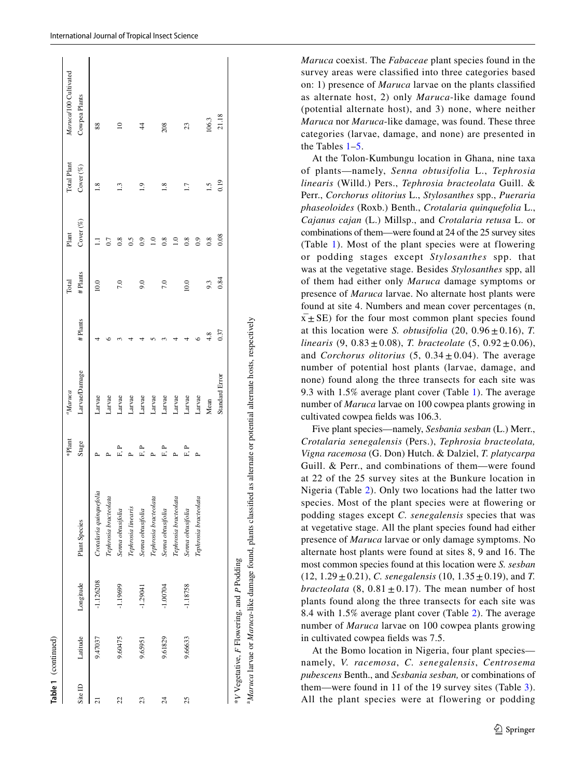|                          |          |                                           |                         | *Plant  | <sup>a</sup> Maruca |         | Total   | Plant          | Total Plant     | Marucal 00 Cultivated |
|--------------------------|----------|-------------------------------------------|-------------------------|---------|---------------------|---------|---------|----------------|-----------------|-----------------------|
| Site ID                  | Latitude | Longitude                                 | Plant Species           | Stage   | Larvae/Damage       | #Plants | #Plants | Cover $(\%)$   | Cover (%)       | Cowpea Plants         |
| $\overline{c}$           | 9.47037  | $-1.126208$                               | Crotalaria quinquefolia |         | Larvae              |         | 10.0    | Ξ              | $\frac{8}{10}$  | 88                    |
|                          |          |                                           | Tephrosia bracteolata   |         | Larvae              |         |         | 0.7            |                 |                       |
| 22                       | 9.60475  | $-1.19699$                                | Senna obtusifolia       | ے<br>تا | Larvae              |         | 7.0     | $\frac{8}{2}$  | 3               | $\approx$             |
|                          |          |                                           | Tephrosia linearis      |         | Larvae              |         |         |                |                 |                       |
| 23                       | 9.65951  | $-1.29041$                                | Senna obtusifolia       |         | Larvae              |         | 9.0     |                |                 |                       |
|                          |          |                                           | Tephrosia bracteolata   |         | Larvae              |         |         | $\Xi$          |                 |                       |
| $\overline{\mathcal{Z}}$ | 9.61829  | $-1.00704$                                | Senna obtusifolia       | 户<br>口  | Larvae              |         | 7.0     | $\frac{8}{2}$  | $\frac{8}{1.8}$ | 208                   |
|                          |          |                                           | Tephrosia bracteolata   |         | Larvae              |         |         |                |                 |                       |
| 25                       | 9.66633  | $-1.18758$                                | Senna obtusifolia       | F.      | Larvae              |         | 10.0    | 0.8            | $\overline{11}$ | 23                    |
|                          |          |                                           | Tephrosia bracteolata   |         | Larvae              |         |         | $\overline{0}$ |                 |                       |
|                          |          |                                           |                         |         | Mean                | 4.8     | 9.3     | $\frac{8}{2}$  | ۲Ū              | 106.3                 |
|                          |          |                                           |                         |         | Standard Error      | 0.37    | 0.84    | 0.08           | 0.19            | 21.18                 |
|                          |          | *V Vegetative, F Flowering, and P Podding |                         |         |                     |         |         |                |                 |                       |

**Table 1** (continued)

Table 1 (continued)

a*Maruca* larvae or *Maruca*-like damage found, plants classifed as alternate or potential alternate hosts, respectively

*Maruca* coexist. The *Fabaceae* plant species found in the survey areas were classifed into three categories based on: 1) presence of *Maruca* larvae on the plants classifed as alternate host, 2) only *Maruca*-like damage found (potential alternate host), and 3) none, where neither *Maruca* nor *Maruca*-like damage, was found. These three categories (larvae, damage, and none) are presented in the Tables [1–](#page-3-0)[5](#page-9-0).

At the Tolon-Kumbungu location in Ghana, nine taxa of plants—namely, *Senna obtusifolia* L., *Tephrosia linearis* (Willd.) Pers., *Tephrosia bracteolata* Guill. & Perr., *Corchorus olitorius* L., *Stylosanthes* spp., *Pueraria phaseoloides* (Roxb.) Benth., *Crotalaria quinquefolia* L., *Cajanus cajan* (L.) Millsp., and *Crotalaria retusa* L. or combinations of them—were found at 24 of the 25 survey sites (Table [1\)](#page-3-0). Most of the plant species were at flowering or podding stages except *Stylosanthes* spp. that was at the vegetative stage. Besides *Stylosanthes* spp, all of them had either only *Maruca* damage symptoms or presence of *Maruca* larvae. No alternate host plants were found at site 4. Numbers and mean cover percentages (n,  $x^2$  SE) for the four most common plant species found at this location were *S. obtusifolia* (20,  $0.96 \pm 0.16$ ), *T. linearis* (9,  $0.83 \pm 0.08$ ), *T. bracteolate* (5,  $0.92 \pm 0.06$ ), and *Corchorus olitorius* (5,  $0.34 \pm 0.04$ ). The average number of potential host plants (larvae, damage, and none) found along the three transects for each site was 9.3 with 1.5% average plant cover (Table [1](#page-3-0)). The average number of *Maruca* larvae on 100 cowpea plants growing in cultivated cowpea felds was 106.3.

Five plant species—namely, *Sesbania sesban* (L.) Merr., *Crotalaria senegalensis* (Pers.), *Tephrosia bracteolata, Vigna racemosa* (G. Don) Hutch. & Dalziel, *T. platycarpa* Guill. & Perr., and combinations of them—were found at 22 of the 25 survey sites at the Bunkure location in Nigeria (Table [2](#page-5-0)). Only two locations had the latter two species. Most of the plant species were at fowering or podding stages except *C. senegalensis* species that was at vegetative stage. All the plant species found had either presence of *Maruca* larvae or only damage symptoms. No alternate host plants were found at sites 8, 9 and 16. The most common species found at this location were *S. sesban*  $(12, 1.29 \pm 0.21)$ , *C. senegalensis*  $(10, 1.35 \pm 0.19)$ , and *T. bracteolata* (8,  $0.81 \pm 0.17$ ). The mean number of host plants found along the three transects for each site was 8.4 with 1.5% average plant cover (Table [2](#page-5-0)). The average number of *Maruca* larvae on 100 cowpea plants growing in cultivated cowpea felds was 7.5.

At the Bomo location in Nigeria, four plant species namely, *V. racemosa*, *C. senegalensis*, *Centrosema pubescens* Benth., and *Sesbania sesban,* or combinations of them—were found in 11 of the 19 survey sites (Table [3](#page-7-0)). All the plant species were at flowering or podding<br> *All the plant species* were at flowering or podding<br> *All the plant species* were at flowering or podding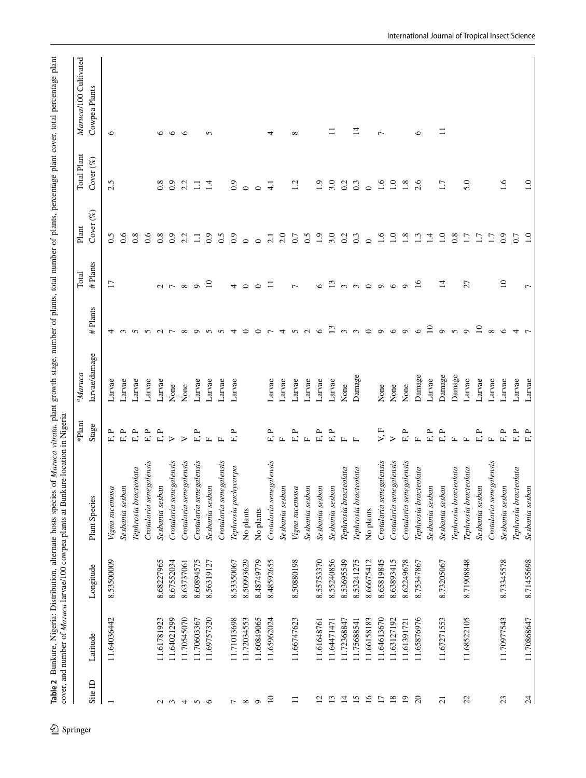<span id="page-5-0"></span>

|                 |             |            |                         | $\ast \text{Plant}$      | $M$ aruca     |                 | Total           | $\mathop{\mathrm{Plant}}$ | Total Plant      | Maruca/100 Cultivated |
|-----------------|-------------|------------|-------------------------|--------------------------|---------------|-----------------|-----------------|---------------------------|------------------|-----------------------|
| Site $ID$       | Latitude    | Longitude  | Plant Species           | Stage                    | larvae/damage | Plants<br>#     | #Plants         | Cover $(\%)$              | Cover (%)        | Cowpea Plants         |
|                 | 11.64036442 | 8.53500009 | Vigna racemosa          | <b>P</b><br>$\mathbb{E}$ | Larvae        | 4               | 17              | 0.5                       | 2.5              | $\circ$               |
|                 |             |            | Sesbania sesban         | F, P                     | Larvae        | $\epsilon$      |                 | 0.6                       |                  |                       |
|                 |             |            | Tephrosia bracteolata   | F.P                      | Larvae        | $\sim$          |                 | $\overline{0.8}$          |                  |                       |
|                 |             |            | Crotalaria senegalensis | F, P                     | Larvae        | つくつ             |                 | 0.6                       |                  |                       |
| $\sim$          | 11.61781923 | 8.68227965 | Sesbania sesban         | ${\tt F, P}$             | Larvae        |                 |                 | 0.8                       | 0.8              | $\circ$               |
| $\epsilon$      | 11.64021299 | 8.67552034 | Crotalaria senegalensis | $\triangleright$         | None          |                 | $\sim$ $\sim$   | $_{0.9}$                  | $_{0.9}$         | $\circ$               |
| $\overline{4}$  | 11.70545070 | 8.63737061 | Crotalaria senegalensis | $\triangleright$         | None          | $\infty$        | $\infty$        | 2.2                       | 2.2              | $\circ$               |
| $\sqrt{2}$      | 11.70603367 | 8.60894575 | Crotalaria senegalensis | F.P                      | Larvae        | $\circ$         | $\circ$         | $\Xi$                     | $\Box$           |                       |
|                 | 11.69757320 | 8.56319127 | Sesbania sesban         | $\Box$                   | Larvae        | $\sim$          | $\overline{10}$ | $_{0.9}$                  | 1.4              | $\Omega$              |
|                 |             |            | Crotalaria senegalensis | $\mathbb{Z}$             | Larvae        | 5               |                 | 0.5                       |                  |                       |
| $\overline{ }$  | 11.71013698 | 8.53350067 | Tephrosia pachycarpa    | <b>P</b><br>E.           | Larvae        |                 | 4               | $_{0.9}$                  | 0.9              |                       |
| $\infty$        | 11.72034553 | 8.50993629 | No plants               |                          |               |                 | $\circ$         | $\circ$                   | $\circ$          |                       |
| $\circ$         | 11.60849065 | 8.48749779 | No plants               |                          |               |                 |                 | $\circ$                   | $\circ$          |                       |
| $\overline{10}$ | 11.65962024 | 8.48592655 | Crotalaria senegalensis | F.P                      | Larvae        |                 | Ξ               | 2.1                       | $\overline{41}$  | 4                     |
|                 |             |            | Sesbania sesban         | $\mathbf{r}$             | Larvae        | 4               |                 | 2.0                       |                  |                       |
| $\equiv$        | 11.66747623 | 8.50880198 | Vigna racemosa          | F, P                     | Larvae        | $\sigma$        | $\overline{ }$  | 0.7                       | 1.2              | $\infty$              |
|                 |             |            | Sesbania sesban         | $\Box$                   | Larvae        | $\sim$          |                 | 0.5                       |                  |                       |
| $\overline{c}$  | 11.61648761 | 8.55753370 | Sesbania sesban         | F.P                      | Larvae        | $\circ$         | $\circ$         | 1.9                       | $\frac{0}{1}$    |                       |
| 13              | 11.64471471 | 8.55240856 | Sesbania sesban         | $\mathbf{r}$<br>E.       | Larvae        | 13              | 13              | 3.0                       | 3.0              | $\Xi$                 |
| $\Xi$           | 11.72368847 | 8.53695549 | Tephrosia bracteolata   | $\Box$                   | None          | $\sim$          | $\sim$          | 0.2                       | 0.2              |                       |
| $15$ $\mu$      | 11.75688541 | 8.53241275 | Tephrosia bracteolata   | $\boxed{\phantom{1}}$    | Damage        | $\infty$        | ന               | 0.3                       | $0.\overline{3}$ | 4                     |
|                 | 11.66158183 | 8.66675412 | No plants               |                          |               | $\circ$         | $\circ$         | $\circ$                   | $\circ$          |                       |
| $\overline{1}$  | 11.64613670 | 8.65819845 | Crotalaria senegalensis | V, F                     | None          | $\circ$         | $\sigma$        | 1.6                       | 1.6              | $\overline{ }$        |
| $18\,$          | 11.63127192 | 8.63893415 | Crotalaria senegalensis | $\geq$                   | None          | $\circ$         | $\circ$         | 1.0                       | 1.0              |                       |
| $\overline{19}$ | 11.61391721 | 8.62249678 | Crotalaria senegalensis | F.P                      | None          | $\circ$         | $\sigma$        | 1.8                       | 1.8              |                       |
| $\Omega$        | 11.65876976 | 8.75347867 | Tephrosia bracteolata   | $\mathbf{L}$             | Damage        | $\circ$         | 16              | 1.3                       | 2.6              | $\circ$               |
|                 |             |            | Sesbania sesban         | F, P                     | Larvae        | $\overline{10}$ |                 | 1.4                       |                  |                       |
| $\overline{c}$  | 11.67271553 | 8.73205067 | Sesbania sesban         | F.P                      | Damage        | $\circ$         | $\vec{a}$       | $\ddot{=}$                | 1.7              | Ξ                     |
|                 |             |            | Tephrosia bracteolata   | $\Box$                   | Damage        | $\Omega$        |                 | 0.8                       |                  |                       |
| 22              | 11.68522105 | 8.71908848 | Tephrosia bracteolata   | $\Box$                   | Larvae        | $\circ$         | 27              | 1.7                       | 5.0              |                       |
|                 |             |            | Sesbania sesban         | F.P                      | Larvae        | $\overline{10}$ |                 | 1.7                       |                  |                       |
|                 |             |            | Crotalaria senegalensis | $\mathbf{L}$             | Larvae        | $\infty$        |                 | 1.7                       |                  |                       |
| 23              | 11.70977543 | 8.73345578 | Sesbania sesban         | F, P                     | Larvae        | $\circ$         | $\overline{10}$ | $_{0.9}$                  | 1.6              |                       |
|                 |             |            | Tephrosia bracteolata   | $\mathbb{E}^*$           | Larvae        | 4               |                 | 0.7                       |                  |                       |
| Z4              | 11.70868647 | 8.71455698 | Sesbania sesban         | $\mathbf{L}^{\prime}$    | Larvae        |                 | $\overline{ }$  |                           | $\overline{1.0}$ |                       |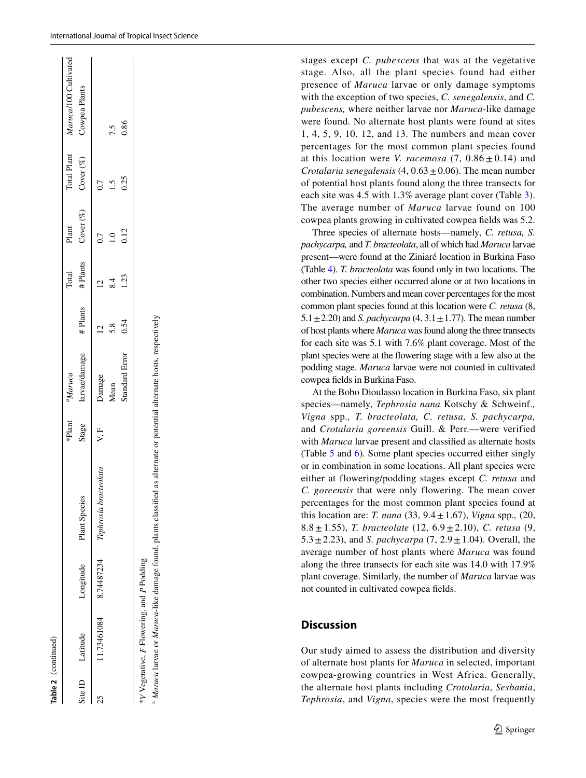|    |                                          |           |                                              | *Plant | <sup>a</sup> Maruca |         | Total   | Plant        | Total Plant  | Maruca/100 Cultivated |
|----|------------------------------------------|-----------|----------------------------------------------|--------|---------------------|---------|---------|--------------|--------------|-----------------------|
|    | Site ID Latitude                         | Longitude | Plant Species                                | Stage  | arvae/damage        | #Plants | #Plants | Cover $(\%)$ | Cover $(\%)$ | Cowpea Plants         |
| ZS |                                          |           | .1.73461084 8.74487234 Tephrosia bracteolata | V.F    | Jamage              |         |         |              |              |                       |
|    |                                          |           |                                              |        | Vlean               |         |         |              |              | 7.5                   |
|    |                                          |           |                                              |        | Standard Error      | 0.54    | 1.23    | 0.12         | 0.25         | 0.86                  |
|    | V Vegetative, F Flowering, and P Podding |           |                                              |        |                     |         |         |              |              |                       |

*V* Vegetative, *F* Flowering, and *P* Podding

<sup>a</sup> Maruca larvae or Maruca-like damage found, plants classified as alternate or potential alternate hosts, respectively *Maruca* larvae or *Maruca*-like damage found, plants classifed as alternate or potential alternate hosts, respectively stages except *C. pubescens* that was at the vegetative stage. Also, all the plant species found had either presence of *Maruca* larvae or only damage symptoms with the exception of two species, *C. senegalensis*, and *C. pubescens,* where neither larvae nor *Maruca*-like damage were found. No alternate host plants were found at sites 1, 4, 5, 9, 10, 12, and 13. The numbers and mean cover percentages for the most common plant species found at this location were *V. racemosa*  $(7, 0.86 \pm 0.14)$  and *Crotalaria senegalensis*  $(4, 0.63 \pm 0.06)$ . The mean number of potential host plants found along the three transects for each site was 4.5 with 1.3% average plant cover (Table [3](#page-7-0)). The average number of *Maruca* larvae found on 100 cowpea plants growing in cultivated cowpea felds was 5.2.

Three species of alternate hosts—namely, *C. retusa, S. pachycarpa,* and *T. bracteolata*, all of which had *Maruca* larvae present—were found at the Ziniaré location in Burkina Faso (Table [4](#page-8-0)). *T. bracteolata* was found only in two locations. The other two species either occurred alone or at two locations in combination. Numbers and mean cover percentages for the most common plant species found at this location were *C. retusa* (8,  $5.1 \pm 2.20$ ) and *S. pachycarpa* (4,  $3.1 \pm 1.77$ ). The mean number of host plants where *Maruca* was found along the three transects for each site was 5.1 with 7.6% plant coverage. Most of the plant species were at the fowering stage with a few also at the podding stage. *Maruca* larvae were not counted in cultivated cowpea felds in Burkina Faso.

At the Bobo Dioulasso location in Burkina Faso, six plant species—namely, *Tephrosia nana* Kotschy & Schweinf.*, Vigna* spp*., T. bracteolata, C. retusa, S. pachycarpa,* and *Crotalaria goreensis* Guill. & Perr.—were verified with *Maruca* larvae present and classifed as alternate hosts (Table [5](#page-9-0) and [6](#page-10-0) )*.* Some plant species occurred either singly or in combination in some locations. All plant species were either at flowering/podding stages except *C. retusa* and *C. goreensis* that were only flowering. The mean cover percentages for the most common plant species found at this location are: *T. nana* (33, 9.4 ±1.67), *Vigna* spp*.,* (20, 8.8 ±1.55), *T. bracteolate* (12, 6.9 ±2.10), *C. retusa* (9, 5.3 ±2.23), and *S. pachycarpa* (7, 2.9 ±1.04). Overall, the average number of host plants where *Maruca* was found along the three transects for each site was 14.0 with 17.9% plant coverage. Similarly, the number of *Maruca* larvae was not counted in cultivated cowpea felds.

### **Discussion**

Our study aimed to assess the distribution and diversity of alternate host plants for *Maruca* in selected, important cowpea-growing countries in West Africa. Generally, the alternate host plants including *Crotolaria*, *Sesbania*, *Tephrosia*, and *Vigna*, species were the most frequently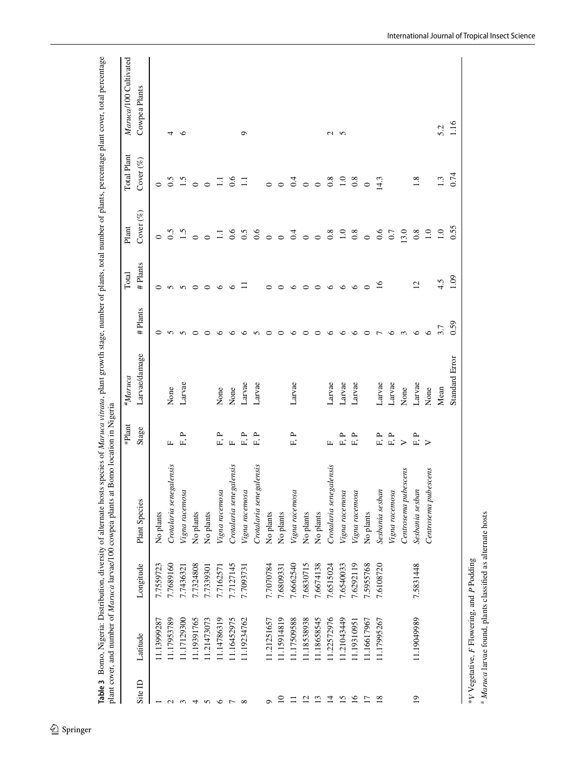<span id="page-7-0"></span>

|                 |             |           |                         | *Plant               | $aMaruca$             |                | Total           | Plant            | <b>Total Plant</b> | Maruca/100 Cultivated |
|-----------------|-------------|-----------|-------------------------|----------------------|-----------------------|----------------|-----------------|------------------|--------------------|-----------------------|
| Site ID         | Latitude    | Longitude | Plant Species           | Stage                | Larvae/damage         | #Plants        | #Plants         | Cover (%)        | Cover $(\%)$       | Cowpea Plants         |
|                 | 11.13999287 | 7.7559723 | No plants               |                      |                       | $\circ$        | $\circ$         | $\circ$          | $\circ$            |                       |
| $\sim$          | 11.17953789 | 7.7689160 | Crotalaria senegalensis | $\mathbf{L}$         | None                  |                |                 | 0.5              | 0.5                | 4                     |
| $\epsilon$      | 11.17129300 | 7.7436321 | Vigna racemosa          | д,<br>$\overline{E}$ | Larvae                | n n            | <b>550</b>      |                  | 1.5                | $\circ$               |
| 4               | 11.19391765 | 7.7324808 | No plants               |                      |                       | $\circ$        |                 | $\circ$          | $\circ$            |                       |
| $\sim$          | 11.21473073 | 7.7339301 | No plants               |                      |                       | $\circ$        | $\circ$         | $\circ$          | $\circ$            |                       |
| $\circ$ $\sim$  | 11.14786319 | 7.7162571 | Vigna racemosa          | F, P                 | None                  | $\circ$        | $\circ$         | Ξ                | $\Xi$              |                       |
|                 | 11.16452975 | 7.7127145 | Crotalaria senegalensis | $\mathbf{L}$         | None                  | $\circ$        | $\circ$         | 0.6              | 6.6                |                       |
| $\infty$        | 11.19234762 | 7.7093731 | Vigna racemosa          | ${\tt F, P}$         | Larvae                | $\circ$        | Ξ               | 0.5              | $\Xi$              | $\circ$               |
|                 |             |           | Crotalaria senegalensis | F.P                  | Larvae                | $\sim$         |                 | 0.6              |                    |                       |
|                 | 11.21251657 | 7.7070784 | No plants               |                      |                       | $\circ$        | 0               | $\circ$          | $\circ$            |                       |
| $\overline{10}$ | 11.15914819 | 7.6809331 | No plants               |                      |                       | $\circ$        | $\circ$         | $\circ$          | $\circ$            |                       |
| $\Box$          | 11.17509588 | 7.6662540 | Vigna racemosa          | p,<br>$\mathbf{r}$   | Larvae                | $\circ$        | $\circ$         | $\overline{0}$ o | 0.4                |                       |
| $\overline{c}$  | 11.18538938 | 7.6830715 | No plants               |                      |                       | $\circ$        | $\circ$         |                  | $\circ$            |                       |
| $\mathbf{r}$    | 11.18658545 | 7.6674138 | No plants               |                      |                       | $\circ$        | $\circ$         | $\circ$          | $\circ$            |                       |
| $\Xi$           | 11.22572976 | 7.6515024 | Crotalaria senegalensis | Щ                    | Larvae                | $\circ$        | $\circ$         | 0.8              | 0.8                |                       |
| 15              | 11.21043449 | 7.6540033 | Vigna racemosa          | F.P                  | Larvae                | $\circ$        | $\circ$         | $\ddot{=}$       | $\frac{0}{1}$      | $\sim$ $\sim$         |
| $\overline{16}$ | 11.19310951 | 7.6292119 | Vigna racemosa          | 户<br>口               | Larvae                | $\circ$        | $\circ$         | 0.8              | $0.\overline{8}$   |                       |
| $\overline{17}$ | 11.16617967 | 7.5955768 | No plants               |                      |                       | $\circ$        | $\circ$         | $\circ$          | $\circ$            |                       |
| $\frac{8}{18}$  | 11.17995267 | 7.6108720 | Sesbania sesban         | F, P                 | Larvae                | $\overline{ }$ | $\overline{16}$ | 0.6              | 14.3               |                       |
|                 |             |           | Vigna racemosa          | ${\bf F}$ .P         | Larvae                | $\circ$        |                 | 0.7              |                    |                       |
|                 |             |           | Centrosema pubescens    | $\geq$               | None                  | $\frac{1}{2}$  |                 | 13.0             |                    |                       |
| $\overline{0}$  | 11.19049989 | 7.5831448 | Sesbania sesban         | F, P                 | Larvae                |                | $\overline{c}$  | 0.8              | 1.8                |                       |
|                 |             |           | Centrosema pubescens    | $\triangleright$     | None                  | $\circ$        |                 | 1.0              |                    |                       |
|                 |             |           |                         |                      | Mean                  | 3.7            | 4.5             | 1.0              | 1.3                | 5.2                   |
|                 |             |           |                         |                      | <b>Standard Error</b> | 0.59           | 1.09            | 0.55             | 0.74               | 1.16                  |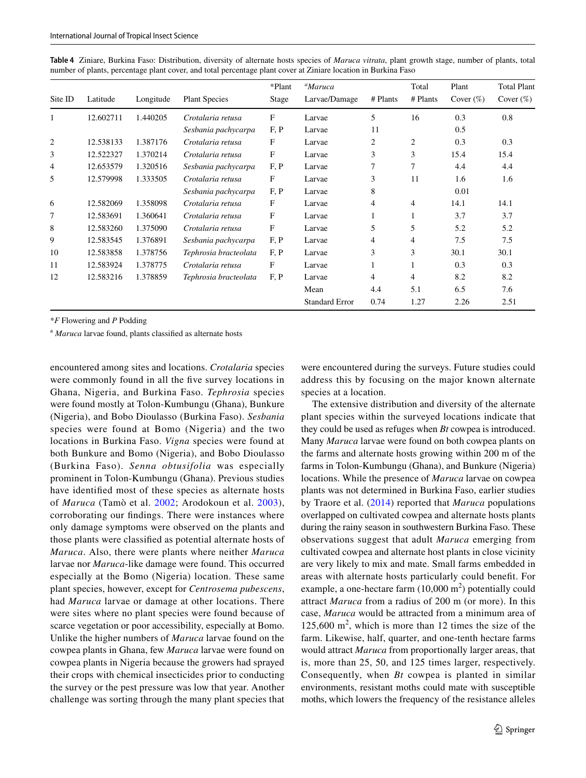<span id="page-8-0"></span>

|  |  | Table 4 Ziniare, Burkina Faso: Distribution, diversity of alternate hosts species of Maruca vitrata, plant growth stage, number of plants, total |  |  |  |  |  |
|--|--|--------------------------------------------------------------------------------------------------------------------------------------------------|--|--|--|--|--|
|  |  | number of plants, percentage plant cover, and total percentage plant cover at Ziniare location in Burkina Faso                                   |  |  |  |  |  |

| Site ID        | Latitude  | Longitude | <b>Plant Species</b>  | *Plant<br>Stage           | <sup>a</sup> Maruca<br>Larvae/Damage | # Plants       | Total<br># Plants | Plant<br>Cover $(\%)$ | <b>Total Plant</b><br>Cover $(\%)$ |
|----------------|-----------|-----------|-----------------------|---------------------------|--------------------------------------|----------------|-------------------|-----------------------|------------------------------------|
|                | 12.602711 | 1.440205  | Crotalaria retusa     | $\boldsymbol{\mathrm{F}}$ | Larvae                               | 5              | 16                | 0.3                   | 0.8                                |
|                |           |           | Sesbania pachycarpa   | F, P                      | Larvae                               | 11             |                   | 0.5                   |                                    |
| $\overline{2}$ | 12.538133 | 1.387176  | Crotalaria retusa     | F                         | Larvae                               | $\overline{c}$ | $\overline{c}$    | 0.3                   | 0.3                                |
| 3              | 12.522327 | 1.370214  | Crotalaria retusa     | $\mathbf{F}$              | Larvae                               | 3              | 3                 | 15.4                  | 15.4                               |
| 4              | 12.653579 | 1.320516  | Sesbania pachycarpa   | F, P                      | Larvae                               | 7              | 7                 | 4.4                   | 4.4                                |
| 5              | 12.579998 | 1.333505  | Crotalaria retusa     | F                         | Larvae                               | 3              | 11                | 1.6                   | 1.6                                |
|                |           |           | Sesbania pachycarpa   | F, P                      | Larvae                               | 8              |                   | 0.01                  |                                    |
| 6              | 12.582069 | 1.358098  | Crotalaria retusa     | F                         | Larvae                               | 4              | 4                 | 14.1                  | 14.1                               |
| 7              | 12.583691 | 1.360641  | Crotalaria retusa     | F                         | Larvae                               |                | 1                 | 3.7                   | 3.7                                |
| 8              | 12.583260 | 1.375090  | Crotalaria retusa     | F                         | Larvae                               | 5              | 5                 | 5.2                   | 5.2                                |
| 9              | 12.583545 | 1.376891  | Sesbania pachycarpa   | F, P                      | Larvae                               | 4              | 4                 | 7.5                   | 7.5                                |
| 10             | 12.583858 | 1.378756  | Tephrosia bracteolata | F, P                      | Larvae                               | 3              | 3                 | 30.1                  | 30.1                               |
| 11             | 12.583924 | 1.378775  | Crotalaria retusa     | F                         | Larvae                               |                |                   | 0.3                   | 0.3                                |
| 12             | 12.583216 | 1.378859  | Tephrosia bracteolata | F, P                      | Larvae                               | 4              | 4                 | 8.2                   | 8.2                                |
|                |           |           |                       |                           | Mean                                 | 4.4            | 5.1               | 6.5                   | 7.6                                |
|                |           |           |                       |                           | <b>Standard Error</b>                | 0.74           | 1.27              | 2.26                  | 2.51                               |

\**F* Flowering and *P* Podding

<sup>a</sup> Maruca larvae found, plants classified as alternate hosts

encountered among sites and locations. *Crotalaria* species were commonly found in all the fve survey locations in Ghana, Nigeria, and Burkina Faso. *Tephrosia* species were found mostly at Tolon-Kumbungu (Ghana), Bunkure (Nigeria), and Bobo Dioulasso (Burkina Faso). *Sesbania* species were found at Bomo (Nigeria) and the two locations in Burkina Faso. *Vigna* species were found at both Bunkure and Bomo (Nigeria), and Bobo Dioulasso (Burkina Faso). *Senna obtusifolia* was especially prominent in Tolon-Kumbungu (Ghana). Previous studies have identifed most of these species as alternate hosts of *Maruca* (Tamò et al. [2002](#page-13-6); Arodokoun et al. [2003](#page-12-15)), corroborating our fndings. There were instances where only damage symptoms were observed on the plants and those plants were classifed as potential alternate hosts of *Maruca*. Also, there were plants where neither *Maruca* larvae nor *Maruca*-like damage were found. This occurred especially at the Bomo (Nigeria) location. These same plant species, however, except for *Centrosema pubescens*, had *Maruca* larvae or damage at other locations. There were sites where no plant species were found because of scarce vegetation or poor accessibility, especially at Bomo. Unlike the higher numbers of *Maruca* larvae found on the cowpea plants in Ghana, few *Maruca* larvae were found on cowpea plants in Nigeria because the growers had sprayed their crops with chemical insecticides prior to conducting the survey or the pest pressure was low that year. Another challenge was sorting through the many plant species that

were encountered during the surveys. Future studies could address this by focusing on the major known alternate species at a location.

The extensive distribution and diversity of the alternate plant species within the surveyed locations indicate that they could be used as refuges when *Bt* cowpea is introduced. Many *Maruca* larvae were found on both cowpea plants on the farms and alternate hosts growing within 200 m of the farms in Tolon-Kumbungu (Ghana), and Bunkure (Nigeria) locations. While the presence of *Maruca* larvae on cowpea plants was not determined in Burkina Faso, earlier studies by Traore et al. ([2014](#page-13-7)) reported that *Maruca* populations overlapped on cultivated cowpea and alternate hosts plants during the rainy season in southwestern Burkina Faso. These observations suggest that adult *Maruca* emerging from cultivated cowpea and alternate host plants in close vicinity are very likely to mix and mate. Small farms embedded in areas with alternate hosts particularly could beneft. For example, a one-hectare farm  $(10,000 \text{ m}^2)$  potentially could attract *Maruca* from a radius of 200 m (or more). In this case, *Maruca* would be attracted from a minimum area of  $125,600 \text{ m}^2$ , which is more than 12 times the size of the farm. Likewise, half, quarter, and one-tenth hectare farms would attract *Maruca* from proportionally larger areas, that is, more than 25, 50, and 125 times larger, respectively. Consequently, when *Bt* cowpea is planted in similar environments, resistant moths could mate with susceptible moths, which lowers the frequency of the resistance alleles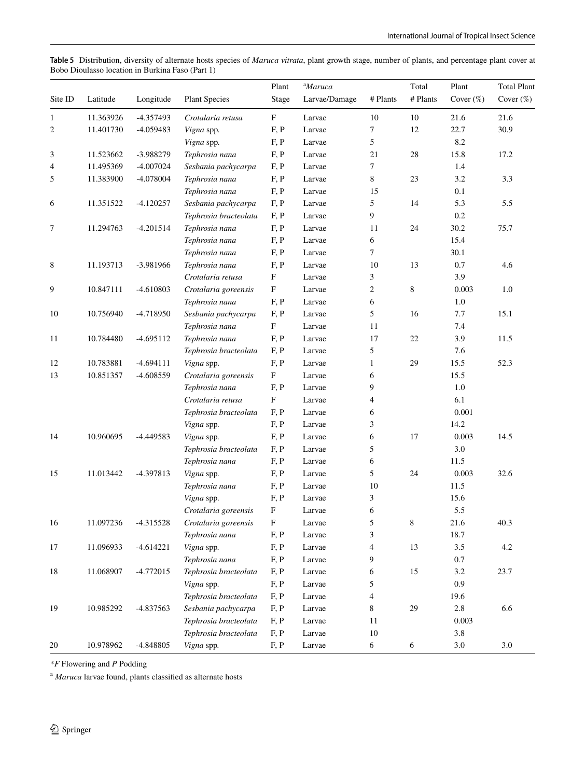<span id="page-9-0"></span>**Table 5** Distribution, diversity of alternate hosts species of *Maruca vitrata*, plant growth stage, number of plants, and percentage plant cover at Bobo Dioulasso location in Burkina Faso (Part 1)

|         |           |             |                       | Plant                     | <sup>a</sup> Maruca |                | Total       | Plant        | <b>Total Plant</b> |
|---------|-----------|-------------|-----------------------|---------------------------|---------------------|----------------|-------------|--------------|--------------------|
| Site ID | Latitude  | Longitude   | <b>Plant Species</b>  | Stage                     | Larvae/Damage       | # Plants       | # Plants    | Cover $(\%)$ | Cover (%)          |
| 1       | 11.363926 | -4.357493   | Crotalaria retusa     | $\rm F$                   | Larvae              | 10             | 10          | 21.6         | 21.6               |
| 2       | 11.401730 | -4.059483   | Vigna spp.            | F, P                      | Larvae              | 7              | 12          | 22.7         | 30.9               |
|         |           |             | Vigna spp.            | F, P                      | Larvae              | 5              |             | 8.2          |                    |
| 3       | 11.523662 | -3.988279   | Tephrosia nana        | F, P                      | Larvae              | 21             | 28          | 15.8         | 17.2               |
| 4       | 11.495369 | $-4.007024$ | Sesbania pachycarpa   | F, P                      | Larvae              | $\tau$         |             | 1.4          |                    |
| 5       | 11.383900 | -4.078004   | Tephrosia nana        | F, P                      | Larvae              | 8              | 23          | 3.2          | 3.3                |
|         |           |             | Tephrosia nana        | F, P                      | Larvae              | 15             |             | 0.1          |                    |
| 6       | 11.351522 | $-4.120257$ | Sesbania pachycarpa   | F, P                      | Larvae              | 5              | 14          | 5.3          | 5.5                |
|         |           |             | Tephrosia bracteolata | F, P                      | Larvae              | 9              |             | 0.2          |                    |
| 7       | 11.294763 | $-4.201514$ | Tephrosia nana        | F, P                      | Larvae              | 11             | 24          | 30.2         | 75.7               |
|         |           |             | Tephrosia nana        | F, P                      | Larvae              | 6              |             | 15.4         |                    |
|         |           |             | Tephrosia nana        | F, P                      | Larvae              | 7              |             | 30.1         |                    |
| 8       | 11.193713 | -3.981966   | Tephrosia nana        | F, P                      | Larvae              | 10             | 13          | 0.7          | 4.6                |
|         |           |             | Crotalaria retusa     | $\boldsymbol{\mathrm{F}}$ | Larvae              | 3              |             | 3.9          |                    |
| 9       | 10.847111 | $-4.610803$ | Crotalaria goreensis  | F                         | Larvae              | 2              | 8           | 0.003        | 1.0                |
|         |           |             | Tephrosia nana        | F, P                      | Larvae              | 6              |             | 1.0          |                    |
| 10      | 10.756940 | $-4.718950$ | Sesbania pachycarpa   | F, P                      | Larvae              | 5              | 16          | 7.7          | 15.1               |
|         |           |             | Tephrosia nana        | $\mathbf F$               | Larvae              | 11             |             | 7.4          |                    |
| 11      | 10.784480 | $-4.695112$ | Tephrosia nana        | F, P                      | Larvae              | 17             | 22          | 3.9          | 11.5               |
|         |           |             | Tephrosia bracteolata | F, P                      | Larvae              | 5              |             | 7.6          |                    |
| 12      | 10.783881 | $-4.694111$ | Vigna spp.            | F, P                      | Larvae              | $\mathbf{1}$   | 29          | 15.5         | 52.3               |
| 13      | 10.851357 | $-4.608559$ | Crotalaria goreensis  | F                         | Larvae              | 6              |             | 15.5         |                    |
|         |           |             | Tephrosia nana        | F, P                      | Larvae              | 9              |             | 1.0          |                    |
|         |           |             | Crotalaria retusa     | F                         | Larvae              | 4              |             | 6.1          |                    |
|         |           |             | Tephrosia bracteolata | F, P                      | Larvae              | 6              |             | 0.001        |                    |
|         |           |             | Vigna spp.            | F, P                      | Larvae              | 3              |             | 14.2         |                    |
| 14      | 10.960695 | -4.449583   | Vigna spp.            | F, P                      | Larvae              | 6              | 17          | 0.003        | 14.5               |
|         |           |             | Tephrosia bracteolata | F, P                      | Larvae              | 5              |             | 3.0          |                    |
|         |           |             | Tephrosia nana        | F, P                      | Larvae              | 6              |             | 11.5         |                    |
| 15      | 11.013442 | -4.397813   | Vigna spp.            | F, P                      | Larvae              | 5              | 24          | 0.003        | 32.6               |
|         |           |             | Tephrosia nana        | F, P                      | Larvae              | 10             |             | 11.5         |                    |
|         |           |             | Vigna spp.            | F, P                      | Larvae              | 3              |             | 15.6         |                    |
|         |           |             | Crotalaria goreensis  | $\boldsymbol{\mathrm{F}}$ | Larvae              | 6              |             | 5.5          |                    |
| 16      | 11.097236 | $-4.315528$ | Crotalaria goreensis  | ${\bf F}$                 | $\rm Larvac$        | $\mathfrak{c}$ | $\,$ 8 $\,$ | $21.6\,$     | 40.3               |
|         |           |             | Tephrosia nana        | F, P                      | Larvae              | 3              |             | 18.7         |                    |
| 17      | 11.096933 | $-4.614221$ | Vigna spp.            | F, P                      | Larvae              | 4              | 13          | $3.5\,$      | 4.2                |
|         |           |             | Tephrosia nana        | F, P                      | Larvae              | 9              |             | $0.7\,$      |                    |
| 18      | 11.068907 | $-4.772015$ | Tephrosia bracteolata | F, P                      | Larvae              | 6              | 15          | $3.2\,$      | 23.7               |
|         |           |             | Vigna spp.            | F, P                      | Larvae              | 5              |             | 0.9          |                    |
|         |           |             | Tephrosia bracteolata | F, P                      | Larvae              | 4              |             | 19.6         |                    |
| 19      | 10.985292 | -4.837563   | Sesbania pachycarpa   | F, P                      | Larvae              | 8              | 29          | $2.8\,$      | 6.6                |
|         |           |             | Tephrosia bracteolata | F, P                      | Larvae              | 11             |             | 0.003        |                    |
|         |           |             | Tephrosia bracteolata | F, P                      | Larvae              | 10             |             | $3.8\,$      |                    |
| 20      | 10.978962 | -4.848805   | Vigna spp.            | F, P                      | Larvae              | 6              | 6           | 3.0          | 3.0                |

\**F* Flowering and *P* Podding

<sup>a</sup> Maruca larvae found, plants classified as alternate hosts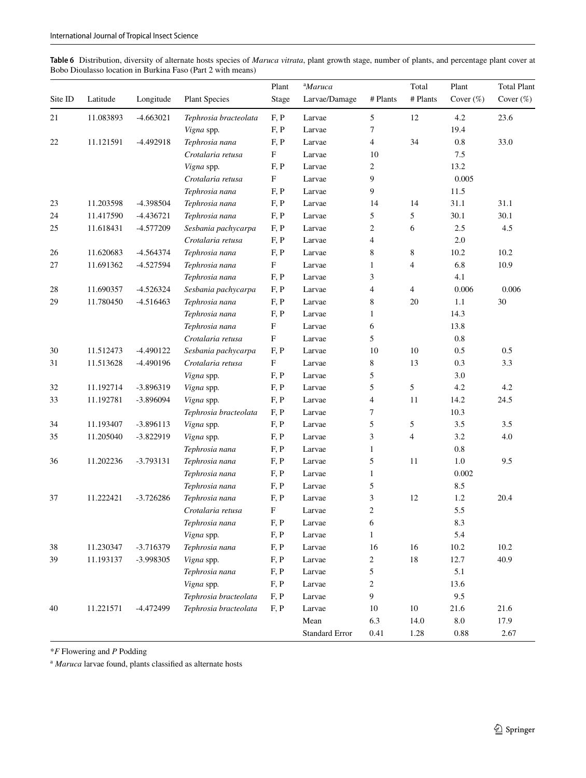<span id="page-10-0"></span>

| Table 6 Distribution, diversity of alternate hosts species of Maruca vitrata, plant growth stage, number of plants, and percentage plant cover at |  |
|---------------------------------------------------------------------------------------------------------------------------------------------------|--|
| Bobo Dioulasso location in Burkina Faso (Part 2 with means)                                                                                       |  |

|         |           |             |                       | Plant                     | <sup>a</sup> Maruca |                          | Total          | Plant        | <b>Total Plant</b> |
|---------|-----------|-------------|-----------------------|---------------------------|---------------------|--------------------------|----------------|--------------|--------------------|
| Site ID | Latitude  | Longitude   | <b>Plant Species</b>  | Stage                     | Larvae/Damage       | # Plants                 | # Plants       | Cover $(\%)$ | Cover $(\%)$       |
| 21      | 11.083893 | $-4.663021$ | Tephrosia bracteolata | F, P                      | Larvae              | 5                        | 12             | 4.2          | 23.6               |
|         |           |             | Vigna spp.            | F, P                      | Larvae              | $\tau$                   |                | 19.4         |                    |
| 22      | 11.121591 | $-4.492918$ | Tephrosia nana        | F, P                      | Larvae              | $\overline{\mathcal{L}}$ | 34             | $0.8\,$      | 33.0               |
|         |           |             | Crotalaria retusa     | $\boldsymbol{\mathrm{F}}$ | Larvae              | 10                       |                | 7.5          |                    |
|         |           |             | Vigna spp.            | F, P                      | Larvae              | $\overline{c}$           |                | 13.2         |                    |
|         |           |             | Crotalaria retusa     | $\mathbf F$               | Larvae              | 9                        |                | 0.005        |                    |
|         |           |             | Tephrosia nana        | F, P                      | Larvae              | 9                        |                | 11.5         |                    |
| 23      | 11.203598 | -4.398504   | Tephrosia nana        | F, P                      | Larvae              | 14                       | 14             | 31.1         | 31.1               |
| 24      | 11.417590 | $-4.436721$ | Tephrosia nana        | F, P                      | Larvae              | 5                        | 5              | 30.1         | 30.1               |
| 25      | 11.618431 | $-4.577209$ | Sesbania pachycarpa   | F, P                      | Larvae              | 2                        | 6              | 2.5          | 4.5                |
|         |           |             | Crotalaria retusa     | F, P                      | Larvae              | $\overline{4}$           |                | 2.0          |                    |
| 26      | 11.620683 | $-4.564374$ | Tephrosia nana        | F, P                      | Larvae              | 8                        | $\,8\,$        | 10.2         | 10.2               |
| 27      | 11.691362 | $-4.527594$ | Tephrosia nana        | $\boldsymbol{\mathrm{F}}$ | Larvae              | $\mathbf{1}$             | $\overline{4}$ | 6.8          | 10.9               |
|         |           |             | Tephrosia nana        | F, P                      | Larvae              | 3                        |                | 4.1          |                    |
| 28      | 11.690357 | $-4.526324$ | Sesbania pachycarpa   | F, P                      | Larvae              | 4                        | $\overline{4}$ | 0.006        | 0.006              |
| 29      | 11.780450 | $-4.516463$ | Tephrosia nana        | F, P                      | Larvae              | 8                        | 20             | 1.1          | 30                 |
|         |           |             | Tephrosia nana        | F, P                      | Larvae              | $\mathbf{1}$             |                | 14.3         |                    |
|         |           |             | Tephrosia nana        | $\boldsymbol{\mathrm{F}}$ | Larvae              | 6                        |                | 13.8         |                    |
|         |           |             | Crotalaria retusa     | $\boldsymbol{\mathrm{F}}$ | Larvae              | 5                        |                | 0.8          |                    |
| 30      | 11.512473 | -4.490122   | Sesbania pachycarpa   | F, P                      | Larvae              | 10                       | 10             | 0.5          | 0.5                |
| 31      | 11.513628 | -4.490196   | Crotalaria retusa     | F                         | Larvae              | 8                        | 13             | 0.3          | 3.3                |
|         |           |             | Vigna spp.            | F, P                      | Larvae              | 5                        |                | 3.0          |                    |
| 32      | 11.192714 | -3.896319   | Vigna spp.            | F, P                      | Larvae              | 5                        | 5              | 4.2          | 4.2                |
| 33      | 11.192781 | -3.896094   | Vigna spp.            | F, P                      | Larvae              | 4                        | 11             | 14.2         | 24.5               |
|         |           |             | Tephrosia bracteolata | F, P                      | Larvae              | 7                        |                | 10.3         |                    |
| 34      | 11.193407 | $-3.896113$ | Vigna spp.            | F, P                      | Larvae              | 5                        | 5              | 3.5          | 3.5                |
| 35      | 11.205040 | $-3.822919$ | Vigna spp.            | F, P                      | Larvae              | 3                        | $\overline{4}$ | 3.2          | 4.0                |
|         |           |             | Tephrosia nana        | F, P                      | Larvae              | $\mathbf{1}$             |                | $0.8\,$      |                    |
| 36      | 11.202236 | $-3.793131$ | Tephrosia nana        | F, P                      | Larvae              | 5                        | 11             | 1.0          | 9.5                |
|         |           |             | Tephrosia nana        | F, P                      | Larvae              | $\mathbf{1}$             |                | 0.002        |                    |
|         |           |             | Tephrosia nana        | F, P                      | Larvae              | 5                        |                | 8.5          |                    |
| 37      | 11.222421 | $-3.726286$ | Tephrosia nana        | F, P                      | Larvae              | 3                        | 12             | $1.2\,$      | 20.4               |
|         |           |             | Crotalaria retusa     | F                         | Larvae              | $\overline{c}$           |                | 5.5          |                    |
|         |           |             | Tephrosia nana        | F, P                      | Larvae              | 6                        |                | 8.3          |                    |
|         |           |             | Vigna spp.            | F, P                      | Larvae              | $\mathbf{1}$             |                | 5.4          |                    |
| 38      | 11.230347 | $-3.716379$ | Tephrosia nana        | F, P                      | Larvae              | 16                       | 16             | $10.2\,$     | 10.2               |
| 39      | 11.193137 | -3.998305   | Vigna spp.            | F, P                      | Larvae              | $\sqrt{2}$               | $18\,$         | 12.7         | 40.9               |
|         |           |             | Tephrosia nana        | F, P                      | Larvae              | 5                        |                | 5.1          |                    |
|         |           |             | Vigna spp.            | F, P                      | Larvae              | $\sqrt{2}$               |                | 13.6         |                    |
|         |           |             | Tephrosia bracteolata | F, P                      | Larvae              | 9                        |                | 9.5          |                    |
| 40      | 11.221571 | $-4.472499$ | Tephrosia bracteolata | F, P                      | Larvae              | 10                       | $10\,$         | 21.6         | 21.6               |
|         |           |             |                       |                           | Mean                | 6.3                      | 14.0           | $\ \, 8.0$   | 17.9               |
|         |           |             |                       |                           | Standard Error      | 0.41                     | 1.28           | $\rm 0.88$   | 2.67               |

\**F* Flowering and *P* Podding

<sup>a</sup> *Maruca* larvae found, plants classifed as alternate hosts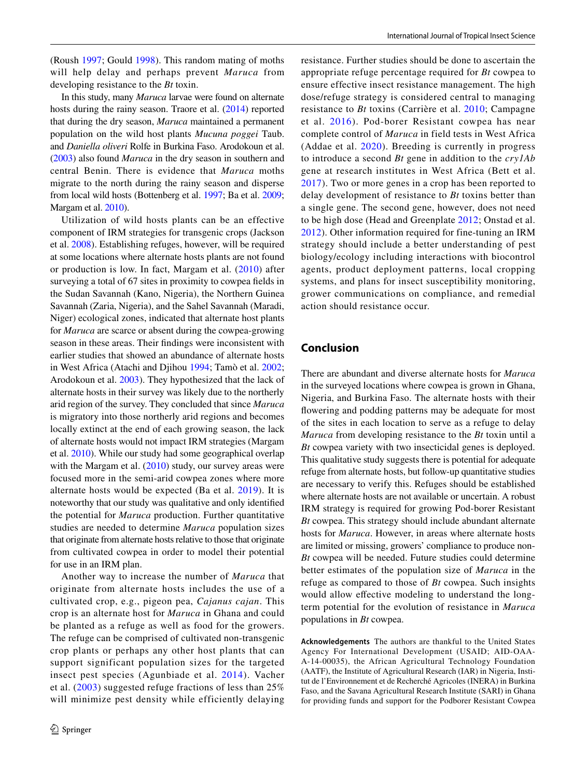(Roush [1997](#page-13-8); Gould [1998\)](#page-12-16). This random mating of moths will help delay and perhaps prevent *Maruca* from developing resistance to the *Bt* toxin.

In this study, many *Maruca* larvae were found on alternate hosts during the rainy season. Traore et al. [\(2014](#page-13-7)) reported that during the dry season, *Maruca* maintained a permanent population on the wild host plants *Mucuna poggei* Taub. and *Daniella oliveri* Rolfe in Burkina Faso. Arodokoun et al. [\(2003\)](#page-12-15) also found *Maruca* in the dry season in southern and central Benin. There is evidence that *Maruca* moths migrate to the north during the rainy season and disperse from local wild hosts (Bottenberg et al. [1997](#page-12-17); Ba et al. [2009](#page-12-18); Margam et al. [2010\)](#page-12-19).

Utilization of wild hosts plants can be an effective component of IRM strategies for transgenic crops (Jackson et al. [2008\)](#page-12-20). Establishing refuges, however, will be required at some locations where alternate hosts plants are not found or production is low. In fact, Margam et al. [\(2010](#page-12-19)) after surveying a total of 67 sites in proximity to cowpea felds in the Sudan Savannah (Kano, Nigeria), the Northern Guinea Savannah (Zaria, Nigeria), and the Sahel Savannah (Maradi, Niger) ecological zones, indicated that alternate host plants for *Maruca* are scarce or absent during the cowpea-growing season in these areas. Their fndings were inconsistent with earlier studies that showed an abundance of alternate hosts in West Africa (Atachi and Djihou [1994](#page-12-21); Tamò et al. [2002](#page-13-6); Arodokoun et al. [2003\)](#page-12-15). They hypothesized that the lack of alternate hosts in their survey was likely due to the northerly arid region of the survey. They concluded that since *Maruca* is migratory into those northerly arid regions and becomes locally extinct at the end of each growing season, the lack of alternate hosts would not impact IRM strategies (Margam et al. [2010](#page-12-19)). While our study had some geographical overlap with the Margam et al. ([2010\)](#page-12-19) study, our survey areas were focused more in the semi-arid cowpea zones where more alternate hosts would be expected (Ba et al. [2019\)](#page-12-5). It is noteworthy that our study was qualitative and only identifed the potential for *Maruca* production. Further quantitative studies are needed to determine *Maruca* population sizes that originate from alternate hosts relative to those that originate from cultivated cowpea in order to model their potential for use in an IRM plan.

Another way to increase the number of *Maruca* that originate from alternate hosts includes the use of a cultivated crop, e.g., pigeon pea, *Cajanus cajan*. This crop is an alternate host for *Maruca* in Ghana and could be planted as a refuge as well as food for the growers. The refuge can be comprised of cultivated non-transgenic crop plants or perhaps any other host plants that can support significant population sizes for the targeted insect pest species (Agunbiade et al. [2014](#page-12-22)). Vacher et al. ([2003](#page-13-9)) suggested refuge fractions of less than 25% will minimize pest density while efficiently delaying resistance. Further studies should be done to ascertain the appropriate refuge percentage required for *Bt* cowpea to ensure effective insect resistance management. The high dose/refuge strategy is considered central to managing resistance to *Bt* toxins (Carrière et al. [2010](#page-12-9); Campagne et al. [2016\)](#page-12-10). Pod-borer Resistant cowpea has near complete control of *Maruca* in field tests in West Africa (Addae et al. [2020](#page-12-6)). Breeding is currently in progress to introduce a second *Bt* gene in addition to the *cry1Ab* gene at research institutes in West Africa (Bett et al. [2017](#page-12-23)). Two or more genes in a crop has been reported to delay development of resistance to *Bt* toxins better than a single gene. The second gene, however, does not need to be high dose (Head and Greenplate [2012;](#page-12-24) Onstad et al. [2012\)](#page-13-1). Other information required for fine-tuning an IRM strategy should include a better understanding of pest biology/ecology including interactions with biocontrol agents, product deployment patterns, local cropping systems, and plans for insect susceptibility monitoring, grower communications on compliance, and remedial action should resistance occur.

# **Conclusion**

There are abundant and diverse alternate hosts for *Maruca* in the surveyed locations where cowpea is grown in Ghana, Nigeria, and Burkina Faso. The alternate hosts with their fowering and podding patterns may be adequate for most of the sites in each location to serve as a refuge to delay *Maruca* from developing resistance to the *Bt* toxin until a *Bt* cowpea variety with two insecticidal genes is deployed. This qualitative study suggests there is potential for adequate refuge from alternate hosts, but follow-up quantitative studies are necessary to verify this. Refuges should be established where alternate hosts are not available or uncertain. A robust IRM strategy is required for growing Pod-borer Resistant *Bt* cowpea. This strategy should include abundant alternate hosts for *Maruca*. However, in areas where alternate hosts are limited or missing, growers' compliance to produce non-*Bt* cowpea will be needed. Future studies could determine better estimates of the population size of *Maruca* in the refuge as compared to those of *Bt* cowpea. Such insights would allow effective modeling to understand the longterm potential for the evolution of resistance in *Maruca* populations in *Bt* cowpea.

**Acknowledgements** The authors are thankful to the United States Agency For International Development (USAID; AID-OAA-A-14-00035), the African Agricultural Technology Foundation (AATF), the Institute of Agricultural Research (IAR) in Nigeria, Institut de l'Environnement et de Recherché Agricoles (INERA) in Burkina Faso, and the Savana Agricultural Research Institute (SARI) in Ghana for providing funds and support for the Podborer Resistant Cowpea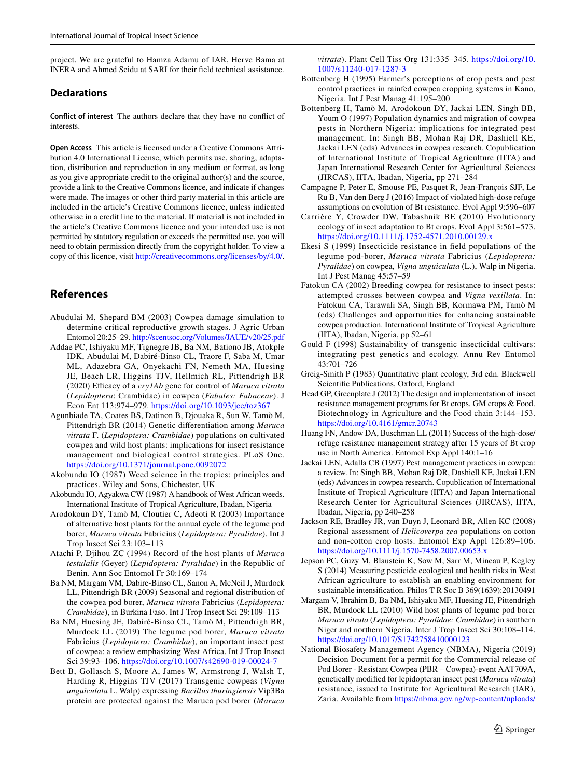project. We are grateful to Hamza Adamu of IAR, Herve Bama at INERA and Ahmed Seidu at SARI for their feld technical assistance.

#### **Declarations**

**Conflict of interest** The authors declare that they have no confict of interests.

**Open Access** This article is licensed under a Creative Commons Attribution 4.0 International License, which permits use, sharing, adaptation, distribution and reproduction in any medium or format, as long as you give appropriate credit to the original author(s) and the source, provide a link to the Creative Commons licence, and indicate if changes were made. The images or other third party material in this article are included in the article's Creative Commons licence, unless indicated otherwise in a credit line to the material. If material is not included in the article's Creative Commons licence and your intended use is not permitted by statutory regulation or exceeds the permitted use, you will need to obtain permission directly from the copyright holder. To view a copy of this licence, visit <http://creativecommons.org/licenses/by/4.0/>.

# **References**

- <span id="page-12-14"></span>Abudulai M, Shepard BM (2003) Cowpea damage simulation to determine critical reproductive growth stages. J Agric Urban Entomol 20:25–29. <http://scentsoc.org/Volumes/JAUE/v20/25.pdf>
- <span id="page-12-6"></span>Addae PC, Ishiyaku MF, Tignegre JB, Ba NM, Bationo JB, Atokple IDK, Abudulai M, Dabiré-Binso CL, Traore F, Saba M, Umar ML, Adazebra GA, Onyekachi FN, Nemeth MA, Huesing JE, Beach LR, Higgins TJV, Hellmich RL, Pittendrigh BR (2020) Efcacy of a *cry1Ab* gene for control of *Maruca vitrata* (*Lepidoptera*: Crambidae) in cowpea (*Fabales: Fabaceae*). J Econ Ent 113:974–979. <https://doi.org/10.1093/jee/toz367>
- <span id="page-12-22"></span>Agunbiade TA, Coates BS, Datinon B, Djouaka R, Sun W, Tamò M, Pittendrigh BR (2014) Genetic diferentiation among *Maruca vitrata* F. (*Lepidoptera: Crambidae*) populations on cultivated cowpea and wild host plants: implications for insect resistance management and biological control strategies. PLoS One. <https://doi.org/10.1371/journal.pone.0092072>
- <span id="page-12-12"></span>Akobundu IO (1987) Weed science in the tropics: principles and practices. Wiley and Sons, Chichester, UK
- <span id="page-12-13"></span>Akobundu IO, Agyakwa CW (1987) A handbook of West African weeds. International Institute of Tropical Agriculture, Ibadan, Nigeria
- <span id="page-12-15"></span>Arodokoun DY, Tamò M, Cloutier C, Adeoti R (2003) Importance of alternative host plants for the annual cycle of the legume pod borer, *Maruca vitrata* Fabricius (*Lepidoptera: Pyralidae*). Int J Trop Insect Sci 23:103–113
- <span id="page-12-21"></span>Atachi P, Djihou ZC (1994) Record of the host plants of *Maruca testulalis* (Geyer) (*Lepidoptera: Pyralidae*) in the Republic of Benin. Ann Soc Entomol Fr 30:169–174
- <span id="page-12-18"></span>Ba NM, Margam VM, Dabire-Binso CL, Sanon A, McNeil J, Murdock LL, Pittendrigh BR (2009) Seasonal and regional distribution of the cowpea pod borer, *Maruca vitrata* Fabricius (*Lepidoptera: Crambidae*), in Burkina Faso. Int J Trop Insect Sci 29:109–113
- <span id="page-12-5"></span>Ba NM, Huesing JE, Dabiré-Binso CL, Tamò M, Pittendrigh BR, Murdock LL (2019) The legume pod borer, *Maruca vitrata* Fabricius (*Lepidoptera: Crambidae*), an important insect pest of cowpea: a review emphasizing West Africa. Int J Trop Insect Sci 39:93–106. <https://doi.org/10.1007/s42690-019-00024-7>
- <span id="page-12-23"></span>Bett B, Gollasch S, Moore A, James W, Armstrong J, Walsh T, Harding R, Higgins TJV (2017) Transgenic cowpeas (*Vigna unguiculata* L. Walp) expressing *Bacillus thuringiensis* Vip3Ba protein are protected against the Maruca pod borer (*Maruca*

*vitrata*). Plant Cell Tiss Org 131:335–345. [https://doi.org/10.](https://doi.org/10.1007/s11240-017-1287-3) [1007/s11240-017-1287-3](https://doi.org/10.1007/s11240-017-1287-3)

- <span id="page-12-1"></span>Bottenberg H (1995) Farmer's perceptions of crop pests and pest control practices in rainfed cowpea cropping systems in Kano, Nigeria. Int J Pest Manag 41:195–200
- <span id="page-12-17"></span>Bottenberg H, Tamò M, Arodokoun DY, Jackai LEN, Singh BB, Youm O (1997) Population dynamics and migration of cowpea pests in Northern Nigeria: implications for integrated pest management. In: Singh BB, Mohan Raj DR, Dashiell KE, Jackai LEN (eds) Advances in cowpea research. Copublication of International Institute of Tropical Agriculture (IITA) and Japan International Research Center for Agricultural Sciences (JIRCAS), IITA, Ibadan, Nigeria, pp 271–284
- <span id="page-12-10"></span>Campagne P, Peter E, Smouse PE, Pasquet R, Jean-François SJF, Le Ru B, Van den Berg J (2016) Impact of violated high-dose refuge assumptions on evolution of Bt resistance. Evol Appl 9:596–607
- <span id="page-12-9"></span>Carrière Y, Crowder DW, Tabashnik BE (2010) Evolutionary ecology of insect adaptation to Bt crops. Evol Appl 3:561–573. <https://doi.org/10.1111/j.1752-4571.2010.00129.x>
- <span id="page-12-2"></span>Ekesi S (1999) Insecticide resistance in feld populations of the legume pod-borer, *Maruca vitrata* Fabricius (*Lepidoptera: Pyralidae*) on cowpea, *Vigna unguiculata* (L.), Walp in Nigeria. Int J Pest Manag 45:57–59
- <span id="page-12-4"></span>Fatokun CA (2002) Breeding cowpea for resistance to insect pests: attempted crosses between cowpea and *Vigna vexillata*. In: Fatokun CA, Tarawali SA, Singh BB, Kormawa PM, Tamò M (eds) Challenges and opportunities for enhancing sustainable cowpea production. International Institute of Tropical Agriculture (IITA), Ibadan, Nigeria, pp 52–61
- <span id="page-12-16"></span>Gould F (1998) Sustainability of transgenic insecticidal cultivars: integrating pest genetics and ecology. Annu Rev Entomol 43:701–726
- <span id="page-12-11"></span>Greig-Smith P (1983) Quantitative plant ecology, 3rd edn. Blackwell Scientifc Publications, Oxford, England
- <span id="page-12-24"></span>Head GP, Greenplate J (2012) The design and implementation of insect resistance management programs for Bt crops. GM crops & Food. Biotechnology in Agriculture and the Food chain 3:144–153. <https://doi.org/10.4161/gmcr.20743>
- <span id="page-12-8"></span>Huang FN, Andow DA, Buschman LL (2011) Success of the high-dose/ refuge resistance management strategy after 15 years of Bt crop use in North America. Entomol Exp Appl 140:1–16
- <span id="page-12-0"></span>Jackai LEN, Adalla CB (1997) Pest management practices in cowpea: a review. In: Singh BB, Mohan Raj DR, Dashiell KE, Jackai LEN (eds) Advances in cowpea research. Copublication of International Institute of Tropical Agriculture (IITA) and Japan International Research Center for Agricultural Sciences (JIRCAS), IITA, Ibadan, Nigeria, pp 240–258
- <span id="page-12-20"></span>Jackson RE, Bradley JR, van Duyn J, Leonard BR, Allen KC (2008) Regional assessment of *Helicoverpa zea* populations on cotton and non-cotton crop hosts. Entomol Exp Appl 126:89–106. <https://doi.org/10.1111/j.1570-7458.2007.00653.x>
- <span id="page-12-3"></span>Jepson PC, Guzy M, Blaustein K, Sow M, Sarr M, Mineau P, Kegley S (2014) Measuring pesticide ecological and health risks in West African agriculture to establish an enabling environment for sustainable intensifcation. Philos T R Soc B 369(1639):20130491
- <span id="page-12-19"></span>Margam V, Ibrahim B, Ba NM, Ishiyaku MF, Huesing JE, Pittendrigh BR, Murdock LL (2010) Wild host plants of legume pod borer *Maruca vitrata* (*Lepidoptera: Pyralidae: Crambidae*) in southern Niger and northern Nigeria. Inter J Trop Insect Sci 30:108–114. <https://doi.org/10.1017/S1742758410000123>
- <span id="page-12-7"></span>National Biosafety Management Agency (NBMA), Nigeria (2019) Decision Document for a permit for the Commercial release of Pod Borer - Resistant Cowpea (PBR – Cowpea)-event AAT709A, genetically modifed for lepidopteran insect pest (*Maruca vitrata*) resistance, issued to Institute for Agricultural Research (IAR), Zaria. Available from [https://nbma.gov.ng/wp-content/uploads/](https://nbma.gov.ng/wp-content/uploads/2017/11/Decision-Document-for-Commercial-Release-of-PBR-Cowpea-2019-final.pdf)